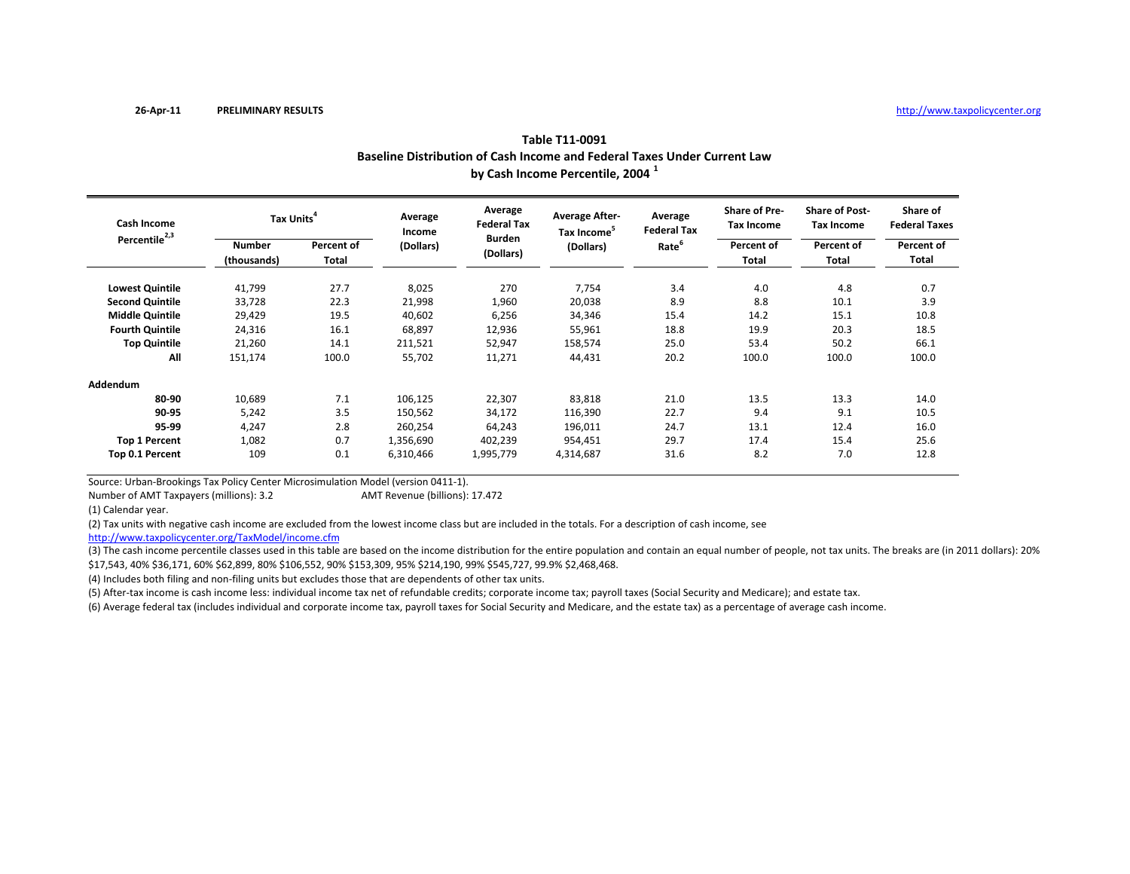|                           | Baseline Distribution of Cash Income and Federal Taxes Under Current Law<br>by Cash Income Percentile, 2004 <sup>1</sup> |                     |                   |                               |                                                  |                               |                                           |                                     |                                  |  |  |  |
|---------------------------|--------------------------------------------------------------------------------------------------------------------------|---------------------|-------------------|-------------------------------|--------------------------------------------------|-------------------------------|-------------------------------------------|-------------------------------------|----------------------------------|--|--|--|
| <b>Cash Income</b>        | Tax Units <sup>4</sup>                                                                                                   |                     | Average<br>Income | Average<br><b>Federal Tax</b> | <b>Average After-</b><br>Tax Income <sup>5</sup> | Average<br><b>Federal Tax</b> | <b>Share of Pre-</b><br><b>Tax Income</b> | <b>Share of Post-</b><br>Tax Income | Share of<br><b>Federal Taxes</b> |  |  |  |
| Percentile <sup>2,3</sup> | <b>Number</b><br>(thousands)                                                                                             | Percent of<br>Total | (Dollars)         | <b>Burden</b><br>(Dollars)    | (Dollars)                                        | Rate <sup>6</sup>             | Percent of<br>Total                       | Percent of<br>Total                 | Percent of<br>Total              |  |  |  |
| <b>Lowest Quintile</b>    | 41,799                                                                                                                   | 27.7                | 8,025             | 270                           | 7,754                                            | 3.4                           | 4.0                                       | 4.8                                 | 0.7                              |  |  |  |
| <b>Second Quintile</b>    | 33,728                                                                                                                   | 22.3                | 21,998            | 1,960                         | 20,038                                           | 8.9                           | 8.8                                       | 10.1                                | 3.9                              |  |  |  |
| <b>Middle Quintile</b>    | 29,429                                                                                                                   | 19.5                | 40,602            | 6,256                         | 34,346                                           | 15.4                          | 14.2                                      | 15.1                                | 10.8                             |  |  |  |
| <b>Fourth Quintile</b>    | 24,316                                                                                                                   | 16.1                | 68,897            | 12,936                        | 55,961                                           | 18.8                          | 19.9                                      | 20.3                                | 18.5                             |  |  |  |
| <b>Top Quintile</b>       | 21,260                                                                                                                   | 14.1                | 211,521           | 52,947                        | 158,574                                          | 25.0                          | 53.4                                      | 50.2                                | 66.1                             |  |  |  |
| All                       | 151,174                                                                                                                  | 100.0               | 55,702            | 11,271                        | 44,431                                           | 20.2                          | 100.0                                     | 100.0                               | 100.0                            |  |  |  |
| Addendum                  |                                                                                                                          |                     |                   |                               |                                                  |                               |                                           |                                     |                                  |  |  |  |
| 80-90                     | 10,689                                                                                                                   | 7.1                 | 106,125           | 22,307                        | 83,818                                           | 21.0                          | 13.5                                      | 13.3                                | 14.0                             |  |  |  |
| 90-95                     | 5,242                                                                                                                    | 3.5                 | 150,562           | 34,172                        | 116,390                                          | 22.7                          | 9.4                                       | 9.1                                 | 10.5                             |  |  |  |
| 95-99                     | 4,247                                                                                                                    | 2.8                 | 260,254           | 64,243                        | 196,011                                          | 24.7                          | 13.1                                      | 12.4                                | 16.0                             |  |  |  |
| <b>Top 1 Percent</b>      | 1,082                                                                                                                    | 0.7                 | 1,356,690         | 402,239                       | 954,451                                          | 29.7                          | 17.4                                      | 15.4                                | 25.6                             |  |  |  |
| Top 0.1 Percent           | 109                                                                                                                      | 0.1                 | 6,310,466         | 1,995,779                     | 4,314,687                                        | 31.6                          | 8.2                                       | 7.0                                 | 12.8                             |  |  |  |

Source: Urban‐Brookings Tax Policy Center Microsimulation Model (version 0411‐1).

Number of AMTAMT Revenue (billions): 17.472

(1) Calendar year.

(2) Tax units with negative cash income are excluded from the lowest income class but are included in the totals. For <sup>a</sup> description of cash income, see

http://www.taxpolicycenter.org/TaxModel/income.cfm

(3) The cash income percentile classes used in this table are based on the income distribution for the entire population and contain an equal number of people, not tax units. The breaks are (in 2011 dollars): 20% \$17,543, 40% \$36,171, 60% \$62,899, 80% \$106,552, 90% \$153,309, 95% \$214,190, 99% \$545,727, 99.9% \$2,468,468.

(4) Includes both filing and non‐filing units but excludes those that are dependents of other tax units.

(5) After‐tax income is cash income less: individual income tax net of refundable credits; corporate income tax; payroll taxes (Social Security and Medicare); and estate tax.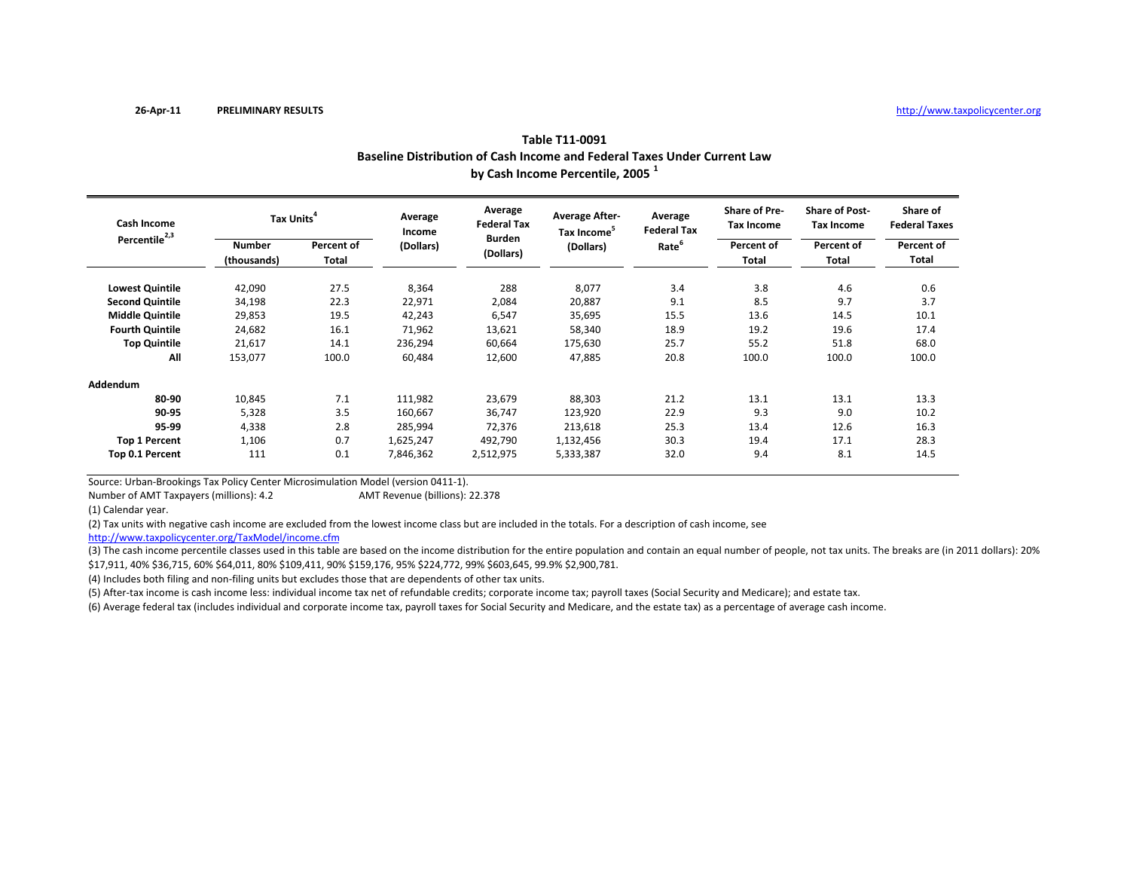|                           | Baseline Distribution of Cash Income and Federal Taxes Under Current Law<br>by Cash Income Percentile, 2005 <sup>1</sup> |                     |                   |                               |                                                  |                               |                                           |                                     |                                  |  |  |  |
|---------------------------|--------------------------------------------------------------------------------------------------------------------------|---------------------|-------------------|-------------------------------|--------------------------------------------------|-------------------------------|-------------------------------------------|-------------------------------------|----------------------------------|--|--|--|
| <b>Cash Income</b>        | Tax Units <sup>4</sup>                                                                                                   |                     | Average<br>Income | Average<br><b>Federal Tax</b> | <b>Average After-</b><br>Tax Income <sup>5</sup> | Average<br><b>Federal Tax</b> | <b>Share of Pre-</b><br><b>Tax Income</b> | <b>Share of Post-</b><br>Tax Income | Share of<br><b>Federal Taxes</b> |  |  |  |
| Percentile <sup>2,3</sup> | <b>Number</b><br>(thousands)                                                                                             | Percent of<br>Total | (Dollars)         | <b>Burden</b><br>(Dollars)    | (Dollars)                                        | Rate <sup>6</sup>             | Percent of<br>Total                       | Percent of<br>Total                 | Percent of<br>Total              |  |  |  |
| <b>Lowest Quintile</b>    | 42,090                                                                                                                   | 27.5                | 8,364             | 288                           | 8,077                                            | 3.4                           | 3.8                                       | 4.6                                 | 0.6                              |  |  |  |
| <b>Second Quintile</b>    | 34,198                                                                                                                   | 22.3                | 22,971            | 2,084                         | 20,887                                           | 9.1                           | 8.5                                       | 9.7                                 | 3.7                              |  |  |  |
| <b>Middle Quintile</b>    | 29,853                                                                                                                   | 19.5                | 42,243            | 6,547                         | 35,695                                           | 15.5                          | 13.6                                      | 14.5                                | 10.1                             |  |  |  |
| <b>Fourth Quintile</b>    | 24,682                                                                                                                   | 16.1                | 71,962            | 13,621                        | 58,340                                           | 18.9                          | 19.2                                      | 19.6                                | 17.4                             |  |  |  |
| <b>Top Quintile</b>       | 21,617                                                                                                                   | 14.1                | 236,294           | 60,664                        | 175,630                                          | 25.7                          | 55.2                                      | 51.8                                | 68.0                             |  |  |  |
| All                       | 153,077                                                                                                                  | 100.0               | 60,484            | 12,600                        | 47,885                                           | 20.8                          | 100.0                                     | 100.0                               | 100.0                            |  |  |  |
| Addendum                  |                                                                                                                          |                     |                   |                               |                                                  |                               |                                           |                                     |                                  |  |  |  |
| 80-90                     | 10,845                                                                                                                   | 7.1                 | 111,982           | 23,679                        | 88,303                                           | 21.2                          | 13.1                                      | 13.1                                | 13.3                             |  |  |  |
| 90-95                     | 5,328                                                                                                                    | 3.5                 | 160,667           | 36,747                        | 123,920                                          | 22.9                          | 9.3                                       | 9.0                                 | 10.2                             |  |  |  |
| 95-99                     | 4,338                                                                                                                    | 2.8                 | 285,994           | 72,376                        | 213,618                                          | 25.3                          | 13.4                                      | 12.6                                | 16.3                             |  |  |  |
| <b>Top 1 Percent</b>      | 1,106                                                                                                                    | 0.7                 | 1,625,247         | 492,790                       | 1,132,456                                        | 30.3                          | 19.4                                      | 17.1                                | 28.3                             |  |  |  |
| Top 0.1 Percent           | 111                                                                                                                      | 0.1                 | 7,846,362         | 2,512,975                     | 5,333,387                                        | 32.0                          | 9.4                                       | 8.1                                 | 14.5                             |  |  |  |

Source: Urban‐Brookings Tax Policy Center Microsimulation Model (version 0411‐1).

Number of AMTAMT Revenue (billions): 22.378

(1) Calendar year.

(2) Tax units with negative cash income are excluded from the lowest income class but are included in the totals. For <sup>a</sup> description of cash income, see

http://www.taxpolicycenter.org/TaxModel/income.cfm

(3) The cash income percentile classes used in this table are based on the income distribution for the entire population and contain an equal number of people, not tax units. The breaks are (in 2011 dollars): 20% \$17,911, 40% \$36,715, 60% \$64,011, 80% \$109,411, 90% \$159,176, 95% \$224,772, 99% \$603,645, 99.9% \$2,900,781.

(4) Includes both filing and non‐filing units but excludes those that are dependents of other tax units.

(5) After‐tax income is cash income less: individual income tax net of refundable credits; corporate income tax; payroll taxes (Social Security and Medicare); and estate tax.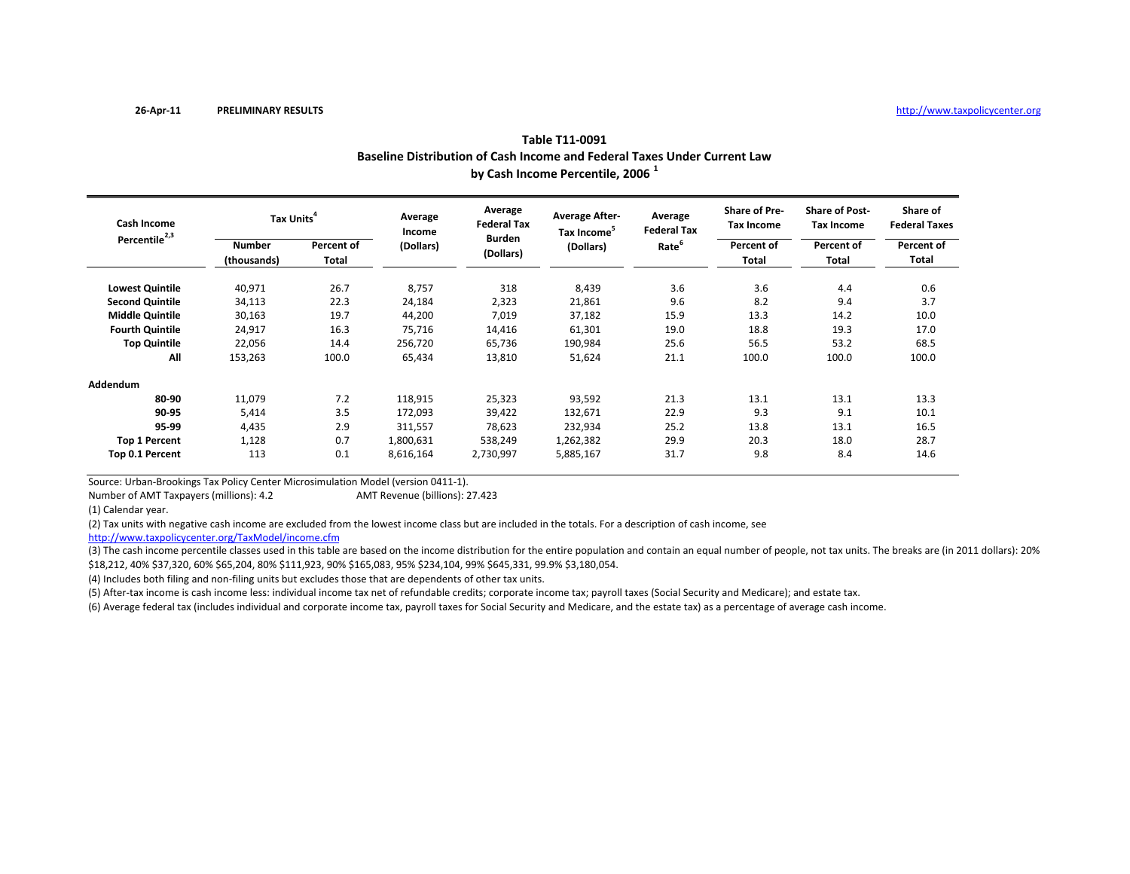| Baseline Distribution of Cash Income and Federal Taxes Under Current Law<br>by Cash Income Percentile, 2006 <sup>1</sup> |                     |                        |                                                             |                                                               |                                                    |                                           |                                                                   |                                  |  |  |  |
|--------------------------------------------------------------------------------------------------------------------------|---------------------|------------------------|-------------------------------------------------------------|---------------------------------------------------------------|----------------------------------------------------|-------------------------------------------|-------------------------------------------------------------------|----------------------------------|--|--|--|
|                                                                                                                          |                     | Average<br>Income      | Average<br><b>Federal Tax</b><br><b>Burden</b><br>(Dollars) | <b>Average After-</b><br>Tax Income <sup>5</sup><br>(Dollars) | Average<br><b>Federal Tax</b><br>Rate <sup>6</sup> | <b>Share of Pre-</b><br><b>Tax Income</b> | <b>Share of Post-</b><br><b>Tax Income</b><br>Percent of<br>Total | Share of<br><b>Federal Taxes</b> |  |  |  |
| <b>Number</b><br>(thousands)                                                                                             | Percent of<br>Total | (Dollars)              |                                                             |                                                               |                                                    | Percent of<br>Total                       |                                                                   | Percent of<br>Total              |  |  |  |
| 40,971                                                                                                                   | 26.7                | 8,757                  | 318                                                         | 8,439                                                         | 3.6                                                | 3.6                                       | 4.4                                                               | 0.6                              |  |  |  |
| 34,113                                                                                                                   | 22.3                | 24,184                 | 2,323                                                       | 21,861                                                        | 9.6                                                | 8.2                                       | 9.4                                                               | 3.7                              |  |  |  |
| 30,163                                                                                                                   | 19.7                | 44,200                 | 7,019                                                       | 37,182                                                        | 15.9                                               | 13.3                                      | 14.2                                                              | 10.0                             |  |  |  |
| 24,917                                                                                                                   | 16.3                | 75,716                 | 14,416                                                      | 61,301                                                        | 19.0                                               | 18.8                                      | 19.3                                                              | 17.0                             |  |  |  |
| 22,056                                                                                                                   | 14.4                | 256,720                | 65,736                                                      | 190,984                                                       | 25.6                                               | 56.5                                      | 53.2                                                              | 68.5                             |  |  |  |
| 153,263                                                                                                                  | 100.0               | 65,434                 | 13,810                                                      | 51,624                                                        | 21.1                                               | 100.0                                     | 100.0                                                             | 100.0                            |  |  |  |
|                                                                                                                          |                     |                        |                                                             |                                                               |                                                    |                                           |                                                                   |                                  |  |  |  |
| 11,079                                                                                                                   | 7.2                 | 118,915                | 25,323                                                      | 93,592                                                        | 21.3                                               | 13.1                                      | 13.1                                                              | 13.3                             |  |  |  |
| 5,414                                                                                                                    | 3.5                 | 172,093                | 39,422                                                      | 132,671                                                       | 22.9                                               | 9.3                                       | 9.1                                                               | 10.1                             |  |  |  |
| 4,435                                                                                                                    | 2.9                 | 311,557                | 78,623                                                      | 232,934                                                       | 25.2                                               | 13.8                                      | 13.1                                                              | 16.5                             |  |  |  |
| 1,128                                                                                                                    | 0.7                 | 1,800,631              | 538,249                                                     | 1,262,382                                                     | 29.9                                               | 20.3                                      | 18.0                                                              | 28.7                             |  |  |  |
| 113                                                                                                                      | 0.1                 | 8,616,164              | 2,730,997                                                   | 5,885,167                                                     | 31.7                                               | 9.8                                       | 8.4                                                               | 14.6                             |  |  |  |
|                                                                                                                          |                     | Tax Units <sup>4</sup> |                                                             |                                                               |                                                    |                                           |                                                                   |                                  |  |  |  |

Source: Urban‐Brookings Tax Policy Center Microsimulation Model (version 0411‐1).

Number of AMTAMT Revenue (billions): 27.423

(1) Calendar year.

(2) Tax units with negative cash income are excluded from the lowest income class but are included in the totals. For <sup>a</sup> description of cash income, see

http://www.taxpolicycenter.org/TaxModel/income.cfm

(3) The cash income percentile classes used in this table are based on the income distribution for the entire population and contain an equal number of people, not tax units. The breaks are (in 2011 dollars): 20% \$18,212, 40% \$37,320, 60% \$65,204, 80% \$111,923, 90% \$165,083, 95% \$234,104, 99% \$645,331, 99.9% \$3,180,054.

(4) Includes both filing and non‐filing units but excludes those that are dependents of other tax units.

(5) After‐tax income is cash income less: individual income tax net of refundable credits; corporate income tax; payroll taxes (Social Security and Medicare); and estate tax.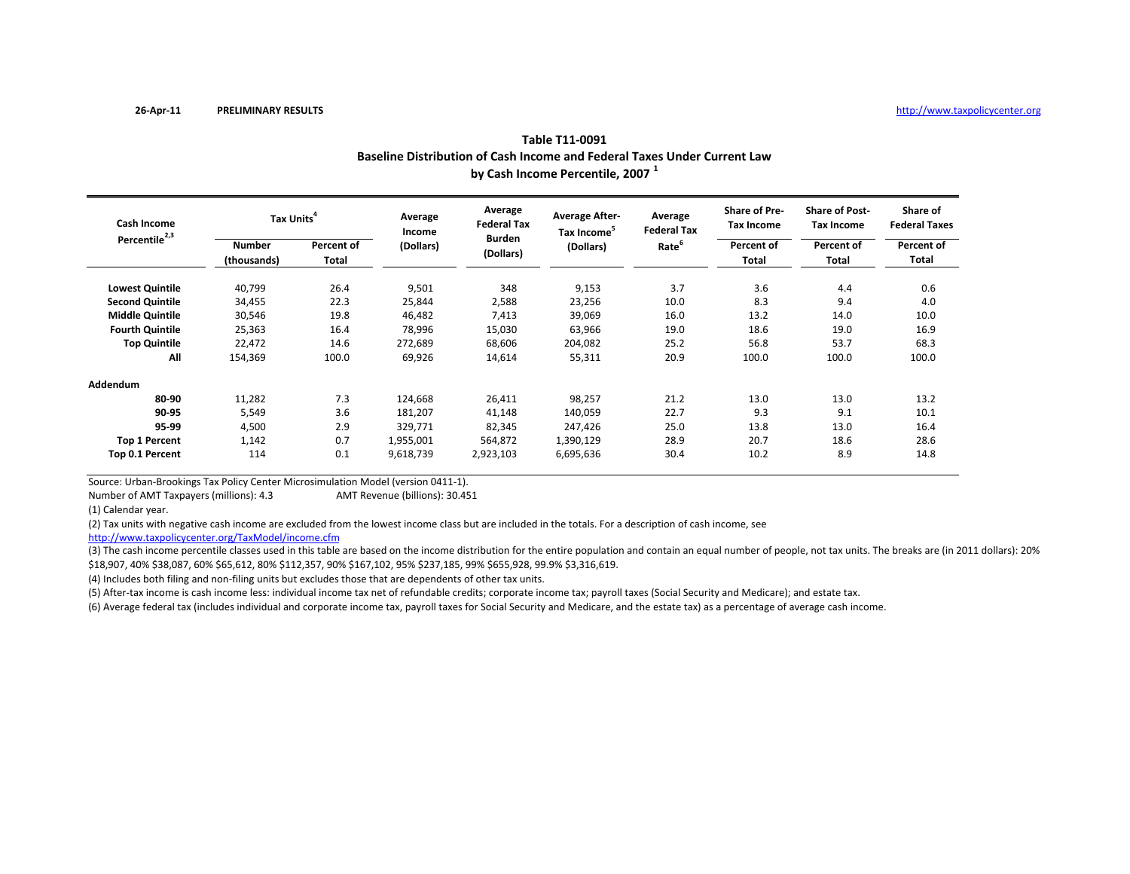|                           | Baseline Distribution of Cash Income and Federal Taxes Under Current Law<br>by Cash Income Percentile, 2007 <sup>1</sup> |                     |                   |                               |                                                  |                               |                                    |                                     |                                  |  |  |  |
|---------------------------|--------------------------------------------------------------------------------------------------------------------------|---------------------|-------------------|-------------------------------|--------------------------------------------------|-------------------------------|------------------------------------|-------------------------------------|----------------------------------|--|--|--|
| Cash Income               | Tax Units <sup>4</sup>                                                                                                   |                     | Average<br>Income | Average<br><b>Federal Tax</b> | <b>Average After-</b><br>Tax Income <sup>5</sup> | Average<br><b>Federal Tax</b> | <b>Share of Pre-</b><br>Tax Income | <b>Share of Post-</b><br>Tax Income | Share of<br><b>Federal Taxes</b> |  |  |  |
| Percentile <sup>2,3</sup> | <b>Number</b><br>(thousands)                                                                                             | Percent of<br>Total | (Dollars)         | <b>Burden</b><br>(Dollars)    | (Dollars)                                        | Rate <sup>6</sup>             | Percent of<br>Total                | Percent of<br>Total                 | Percent of<br>Total              |  |  |  |
| <b>Lowest Quintile</b>    | 40,799                                                                                                                   | 26.4                | 9,501             | 348                           | 9,153                                            | 3.7                           | 3.6                                | 4.4                                 | 0.6                              |  |  |  |
| <b>Second Quintile</b>    | 34,455                                                                                                                   | 22.3                | 25,844            | 2,588                         | 23,256                                           | 10.0                          | 8.3                                | 9.4                                 | 4.0                              |  |  |  |
| <b>Middle Quintile</b>    | 30,546                                                                                                                   | 19.8                | 46,482            | 7,413                         | 39,069                                           | 16.0                          | 13.2                               | 14.0                                | 10.0                             |  |  |  |
| <b>Fourth Quintile</b>    | 25,363                                                                                                                   | 16.4                | 78,996            | 15,030                        | 63,966                                           | 19.0                          | 18.6                               | 19.0                                | 16.9                             |  |  |  |
| <b>Top Quintile</b>       | 22,472                                                                                                                   | 14.6                | 272,689           | 68,606                        | 204,082                                          | 25.2                          | 56.8                               | 53.7                                | 68.3                             |  |  |  |
| All                       | 154,369                                                                                                                  | 100.0               | 69,926            | 14,614                        | 55,311                                           | 20.9                          | 100.0                              | 100.0                               | 100.0                            |  |  |  |
| Addendum                  |                                                                                                                          |                     |                   |                               |                                                  |                               |                                    |                                     |                                  |  |  |  |
| 80-90                     | 11,282                                                                                                                   | 7.3                 | 124,668           | 26,411                        | 98,257                                           | 21.2                          | 13.0                               | 13.0                                | 13.2                             |  |  |  |
| 90-95                     | 5,549                                                                                                                    | 3.6                 | 181,207           | 41,148                        | 140,059                                          | 22.7                          | 9.3                                | 9.1                                 | 10.1                             |  |  |  |
| 95-99                     | 4,500                                                                                                                    | 2.9                 | 329,771           | 82,345                        | 247,426                                          | 25.0                          | 13.8                               | 13.0                                | 16.4                             |  |  |  |
| <b>Top 1 Percent</b>      | 1,142                                                                                                                    | 0.7                 | 1,955,001         | 564,872                       | 1,390,129                                        | 28.9                          | 20.7                               | 18.6                                | 28.6                             |  |  |  |
| Top 0.1 Percent           | 114                                                                                                                      | 0.1                 | 9,618,739         | 2,923,103                     | 6,695,636                                        | 30.4                          | 10.2                               | 8.9                                 | 14.8                             |  |  |  |

Source: Urban‐Brookings Tax Policy Center Microsimulation Model (version 0411‐1).

Number of AMTAMT Revenue (billions): 30.451

(1) Calendar year.

(2) Tax units with negative cash income are excluded from the lowest income class but are included in the totals. For <sup>a</sup> description of cash income, see

http://www.taxpolicycenter.org/TaxModel/income.cfm

(3) The cash income percentile classes used in this table are based on the income distribution for the entire population and contain an equal number of people, not tax units. The breaks are (in 2011 dollars): 20% \$18,907, 40% \$38,087, 60% \$65,612, 80% \$112,357, 90% \$167,102, 95% \$237,185, 99% \$655,928, 99.9% \$3,316,619.

(4) Includes both filing and non‐filing units but excludes those that are dependents of other tax units.

(5) After‐tax income is cash income less: individual income tax net of refundable credits; corporate income tax; payroll taxes (Social Security and Medicare); and estate tax.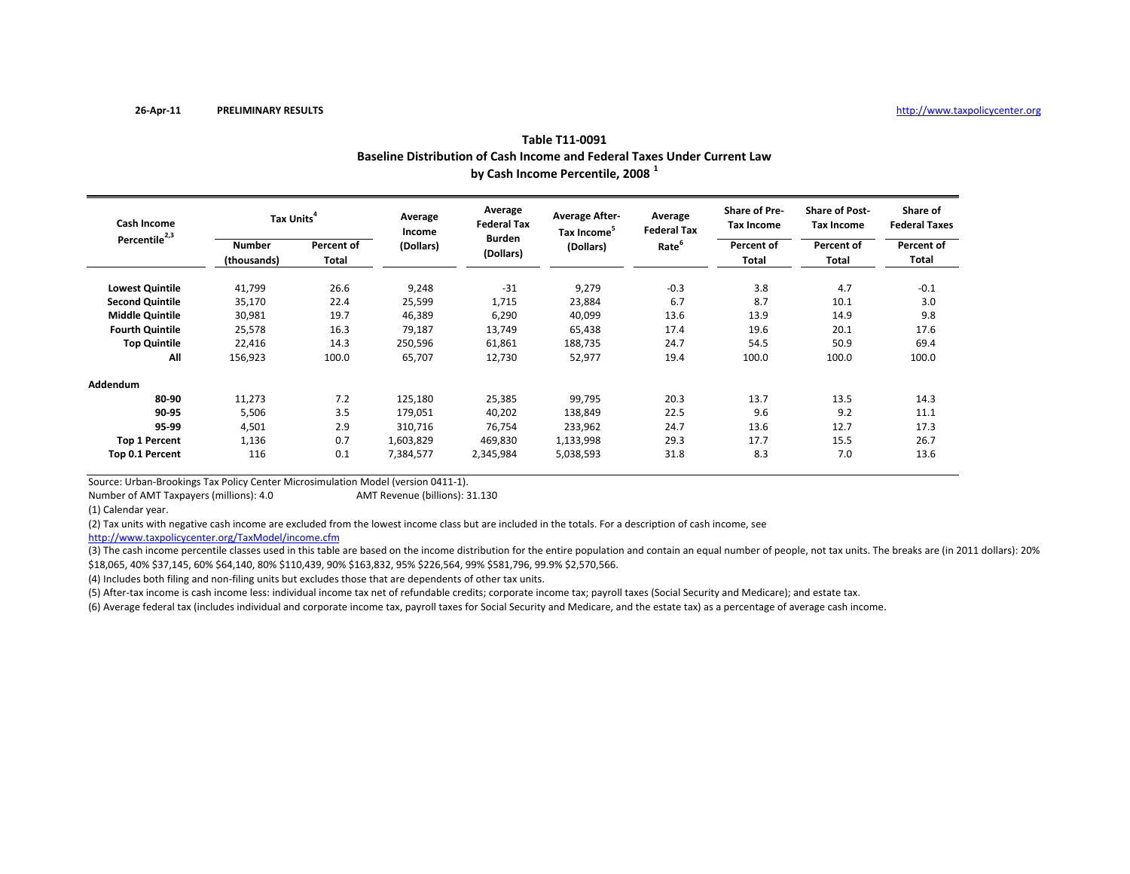|                           | Baseline Distribution of Cash Income and Federal Taxes Under Current Law<br>by Cash Income Percentile, 2008 <sup>1</sup> |                     |                   |                               |                                                  |                               |                                    |                                     |                                  |  |  |  |
|---------------------------|--------------------------------------------------------------------------------------------------------------------------|---------------------|-------------------|-------------------------------|--------------------------------------------------|-------------------------------|------------------------------------|-------------------------------------|----------------------------------|--|--|--|
| <b>Cash Income</b>        | Tax Units <sup>4</sup>                                                                                                   |                     | Average<br>Income | Average<br><b>Federal Tax</b> | <b>Average After-</b><br>Tax Income <sup>5</sup> | Average<br><b>Federal Tax</b> | Share of Pre-<br><b>Tax Income</b> | <b>Share of Post-</b><br>Tax Income | Share of<br><b>Federal Taxes</b> |  |  |  |
| Percentile <sup>2,3</sup> | <b>Number</b><br>(thousands)                                                                                             | Percent of<br>Total | (Dollars)         | <b>Burden</b><br>(Dollars)    | (Dollars)                                        | Rate <sup>6</sup>             | Percent of<br>Total                | Percent of<br>Total                 | Percent of<br>Total              |  |  |  |
| <b>Lowest Quintile</b>    | 41,799                                                                                                                   | 26.6                | 9,248             | $-31$                         | 9,279                                            | $-0.3$                        | 3.8                                | 4.7                                 | $-0.1$                           |  |  |  |
| <b>Second Quintile</b>    | 35,170                                                                                                                   | 22.4                | 25,599            | 1,715                         | 23,884                                           | 6.7                           | 8.7                                | 10.1                                | 3.0                              |  |  |  |
| <b>Middle Quintile</b>    | 30,981                                                                                                                   | 19.7                | 46,389            | 6,290                         | 40,099                                           | 13.6                          | 13.9                               | 14.9                                | 9.8                              |  |  |  |
| <b>Fourth Quintile</b>    | 25,578                                                                                                                   | 16.3                | 79,187            | 13,749                        | 65,438                                           | 17.4                          | 19.6                               | 20.1                                | 17.6                             |  |  |  |
| <b>Top Quintile</b>       | 22,416                                                                                                                   | 14.3                | 250,596           | 61,861                        | 188,735                                          | 24.7                          | 54.5                               | 50.9                                | 69.4                             |  |  |  |
| All                       | 156,923                                                                                                                  | 100.0               | 65,707            | 12,730                        | 52,977                                           | 19.4                          | 100.0                              | 100.0                               | 100.0                            |  |  |  |
| Addendum                  |                                                                                                                          |                     |                   |                               |                                                  |                               |                                    |                                     |                                  |  |  |  |
| 80-90                     | 11,273                                                                                                                   | 7.2                 | 125,180           | 25,385                        | 99,795                                           | 20.3                          | 13.7                               | 13.5                                | 14.3                             |  |  |  |
| 90-95                     | 5,506                                                                                                                    | 3.5                 | 179,051           | 40,202                        | 138,849                                          | 22.5                          | 9.6                                | 9.2                                 | 11.1                             |  |  |  |
| 95-99                     | 4,501                                                                                                                    | 2.9                 | 310,716           | 76,754                        | 233,962                                          | 24.7                          | 13.6                               | 12.7                                | 17.3                             |  |  |  |
| <b>Top 1 Percent</b>      | 1,136                                                                                                                    | 0.7                 | 1,603,829         | 469,830                       | 1,133,998                                        | 29.3                          | 17.7                               | 15.5                                | 26.7                             |  |  |  |
| Top 0.1 Percent           | 116                                                                                                                      | 0.1                 | 7,384,577         | 2,345,984                     | 5,038,593                                        | 31.8                          | 8.3                                | 7.0                                 | 13.6                             |  |  |  |

Source: Urban‐Brookings Tax Policy Center Microsimulation Model (version 0411‐1).

Number of AMTAMT Revenue (billions): 31.130

(1) Calendar year.

(2) Tax units with negative cash income are excluded from the lowest income class but are included in the totals. For <sup>a</sup> description of cash income, see

http://www.taxpolicycenter.org/TaxModel/income.cfm

(3) The cash income percentile classes used in this table are based on the income distribution for the entire population and contain an equal number of people, not tax units. The breaks are (in 2011 dollars): 20% \$18,065, 40% \$37,145, 60% \$64,140, 80% \$110,439, 90% \$163,832, 95% \$226,564, 99% \$581,796, 99.9% \$2,570,566.

(4) Includes both filing and non‐filing units but excludes those that are dependents of other tax units.

(5) After‐tax income is cash income less: individual income tax net of refundable credits; corporate income tax; payroll taxes (Social Security and Medicare); and estate tax.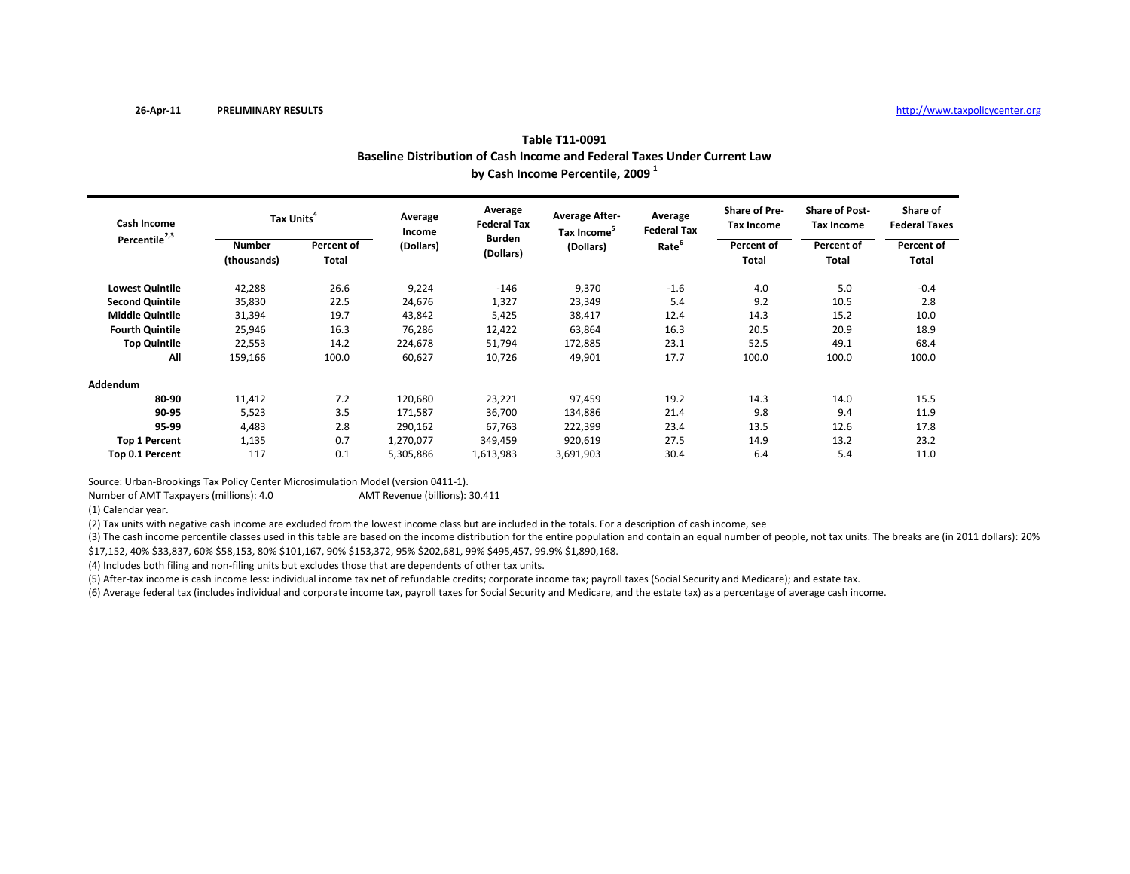|                           | Baseline Distribution of Cash Income and Federal Taxes Under Current Law<br>by Cash Income Percentile, 2009 <sup>1</sup> |                            |                   |                               |                                                  |                               |                                    |                                     |                                  |  |  |  |
|---------------------------|--------------------------------------------------------------------------------------------------------------------------|----------------------------|-------------------|-------------------------------|--------------------------------------------------|-------------------------------|------------------------------------|-------------------------------------|----------------------------------|--|--|--|
| <b>Cash Income</b>        | Tax Units <sup>4</sup>                                                                                                   |                            | Average<br>Income | Average<br><b>Federal Tax</b> | <b>Average After-</b><br>Tax Income <sup>5</sup> | Average<br><b>Federal Tax</b> | Share of Pre-<br><b>Tax Income</b> | <b>Share of Post-</b><br>Tax Income | Share of<br><b>Federal Taxes</b> |  |  |  |
| Percentile <sup>2,3</sup> | <b>Number</b><br>(thousands)                                                                                             | Percent of<br><b>Total</b> | (Dollars)         | <b>Burden</b><br>(Dollars)    | (Dollars)                                        | Rate <sup>6</sup>             | Percent of<br>Total                | Percent of<br>Total                 | Percent of<br>Total              |  |  |  |
| <b>Lowest Quintile</b>    | 42,288                                                                                                                   | 26.6                       | 9,224             | $-146$                        | 9,370                                            | $-1.6$                        | 4.0                                | 5.0                                 | $-0.4$                           |  |  |  |
| <b>Second Quintile</b>    | 35,830                                                                                                                   | 22.5                       | 24,676            | 1,327                         | 23,349                                           | 5.4                           | 9.2                                | 10.5                                | 2.8                              |  |  |  |
| <b>Middle Quintile</b>    | 31,394                                                                                                                   | 19.7                       | 43,842            | 5,425                         | 38,417                                           | 12.4                          | 14.3                               | 15.2                                | 10.0                             |  |  |  |
| <b>Fourth Quintile</b>    | 25,946                                                                                                                   | 16.3                       | 76,286            | 12,422                        | 63,864                                           | 16.3                          | 20.5                               | 20.9                                | 18.9                             |  |  |  |
| <b>Top Quintile</b>       | 22,553                                                                                                                   | 14.2                       | 224,678           | 51,794                        | 172,885                                          | 23.1                          | 52.5                               | 49.1                                | 68.4                             |  |  |  |
| All                       | 159,166                                                                                                                  | 100.0                      | 60,627            | 10,726                        | 49,901                                           | 17.7                          | 100.0                              | 100.0                               | 100.0                            |  |  |  |
| Addendum                  |                                                                                                                          |                            |                   |                               |                                                  |                               |                                    |                                     |                                  |  |  |  |
| 80-90                     | 11,412                                                                                                                   | 7.2                        | 120,680           | 23,221                        | 97,459                                           | 19.2                          | 14.3                               | 14.0                                | 15.5                             |  |  |  |
| 90-95                     | 5,523                                                                                                                    | 3.5                        | 171,587           | 36,700                        | 134,886                                          | 21.4                          | 9.8                                | 9.4                                 | 11.9                             |  |  |  |
| 95-99                     | 4,483                                                                                                                    | 2.8                        | 290,162           | 67,763                        | 222,399                                          | 23.4                          | 13.5                               | 12.6                                | 17.8                             |  |  |  |
| <b>Top 1 Percent</b>      | 1,135                                                                                                                    | 0.7                        | 1,270,077         | 349,459                       | 920,619                                          | 27.5                          | 14.9                               | 13.2                                | 23.2                             |  |  |  |
| Top 0.1 Percent           | 117                                                                                                                      | 0.1                        | 5,305,886         | 1,613,983                     | 3,691,903                                        | 30.4                          | 6.4                                | 5.4                                 | 11.0                             |  |  |  |

Source: Urban‐Brookings Tax Policy Center Microsimulation Model (version 0411‐1).

Number of AMTAMT Revenue (billions): 30.411

(1) Calendar year.

(2) Tax units with negative cash income are excluded from the lowest income class but are included in the totals. For <sup>a</sup> description of cash income, see

(3) The cash income percentile classes used in this table are based on the income distribution for the entire population and contain an equal number of people, not tax units. The breaks are (in 2011 dollars): 20% \$17,152, 40% \$33,837, 60% \$58,153, 80% \$101,167, 90% \$153,372, 95% \$202,681, 99% \$495,457, 99.9% \$1,890,168.

(4) Includes both filing and non-filing units but excludes those that are dependents of other tax units.

(5) After‐tax income is cash income less: individual income tax net of refundable credits; corporate income tax; payroll taxes (Social Security and Medicare); and estate tax.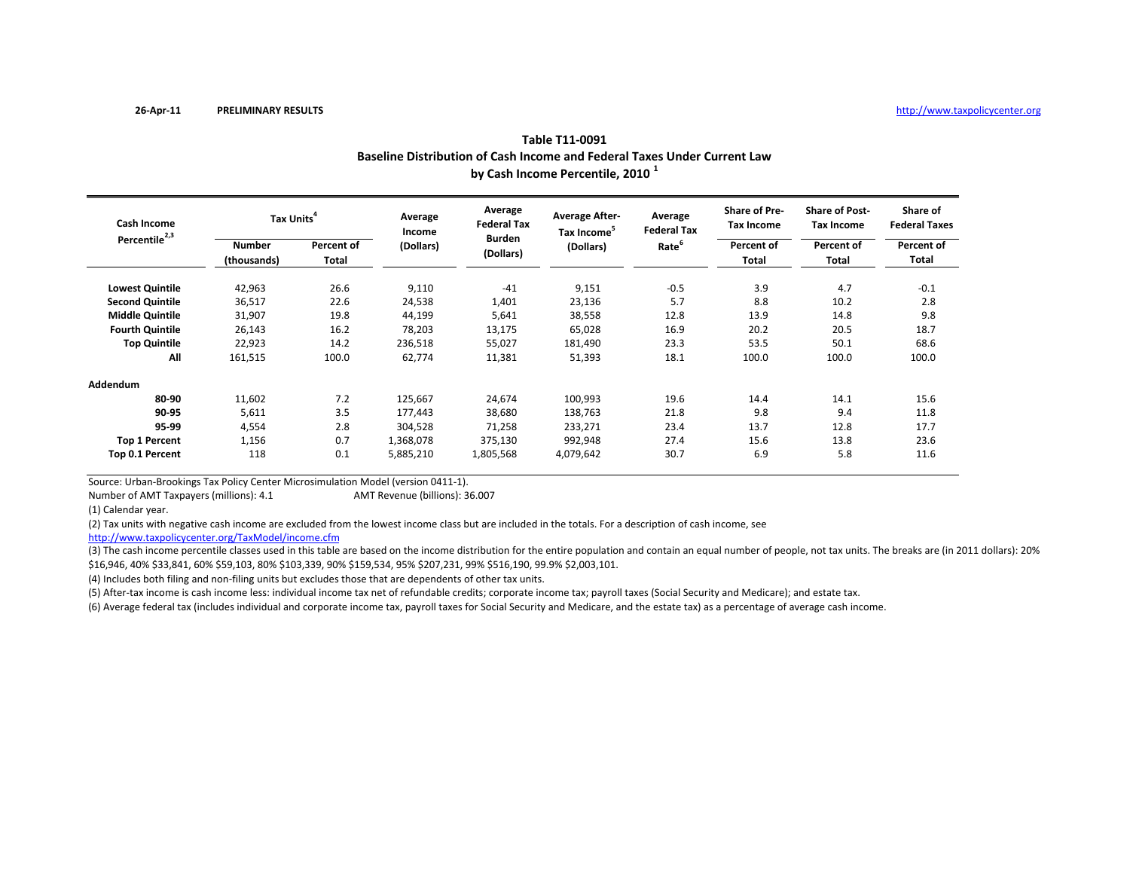|                           | Baseline Distribution of Cash Income and Federal Taxes Under Current Law<br>by Cash Income Percentile, 2010 <sup>1</sup> |                     |                   |                                                             |                                                               |                                                    |                                                           |                                                                          |                                  |  |  |  |
|---------------------------|--------------------------------------------------------------------------------------------------------------------------|---------------------|-------------------|-------------------------------------------------------------|---------------------------------------------------------------|----------------------------------------------------|-----------------------------------------------------------|--------------------------------------------------------------------------|----------------------------------|--|--|--|
| <b>Cash Income</b>        | Tax Units <sup>4</sup>                                                                                                   |                     | Average<br>Income | Average<br><b>Federal Tax</b><br><b>Burden</b><br>(Dollars) | <b>Average After-</b><br>Tax Income <sup>5</sup><br>(Dollars) | Average<br><b>Federal Tax</b><br>Rate <sup>6</sup> | <b>Share of Pre-</b><br>Tax Income<br>Percent of<br>Total | <b>Share of Post-</b><br><b>Tax Income</b><br>Percent of<br><b>Total</b> | Share of<br><b>Federal Taxes</b> |  |  |  |
| Percentile <sup>2,3</sup> | <b>Number</b><br>(thousands)                                                                                             | Percent of<br>Total | (Dollars)         |                                                             |                                                               |                                                    |                                                           |                                                                          | Percent of<br>Total              |  |  |  |
| <b>Lowest Quintile</b>    | 42,963                                                                                                                   | 26.6                | 9,110             | $-41$                                                       | 9,151                                                         | $-0.5$                                             | 3.9                                                       | 4.7                                                                      | $-0.1$                           |  |  |  |
| <b>Second Quintile</b>    | 36,517                                                                                                                   | 22.6                | 24,538            | 1,401                                                       | 23,136                                                        | 5.7                                                | 8.8                                                       | 10.2                                                                     | 2.8                              |  |  |  |
| <b>Middle Quintile</b>    | 31,907                                                                                                                   | 19.8                | 44,199            | 5,641                                                       | 38,558                                                        | 12.8                                               | 13.9                                                      | 14.8                                                                     | 9.8                              |  |  |  |
| <b>Fourth Quintile</b>    | 26,143                                                                                                                   | 16.2                | 78,203            | 13,175                                                      | 65,028                                                        | 16.9                                               | 20.2                                                      | 20.5                                                                     | 18.7                             |  |  |  |
| <b>Top Quintile</b>       | 22,923                                                                                                                   | 14.2                | 236,518           | 55,027                                                      | 181,490                                                       | 23.3                                               | 53.5                                                      | 50.1                                                                     | 68.6                             |  |  |  |
| All                       | 161,515                                                                                                                  | 100.0               | 62,774            | 11,381                                                      | 51,393                                                        | 18.1                                               | 100.0                                                     | 100.0                                                                    | 100.0                            |  |  |  |
| Addendum                  |                                                                                                                          |                     |                   |                                                             |                                                               |                                                    |                                                           |                                                                          |                                  |  |  |  |
| 80-90                     | 11,602                                                                                                                   | 7.2                 | 125,667           | 24,674                                                      | 100,993                                                       | 19.6                                               | 14.4                                                      | 14.1                                                                     | 15.6                             |  |  |  |
| 90-95                     | 5,611                                                                                                                    | 3.5                 | 177,443           | 38,680                                                      | 138,763                                                       | 21.8                                               | 9.8                                                       | 9.4                                                                      | 11.8                             |  |  |  |
| 95-99                     | 4,554                                                                                                                    | 2.8                 | 304,528           | 71,258                                                      | 233,271                                                       | 23.4                                               | 13.7                                                      | 12.8                                                                     | 17.7                             |  |  |  |
| <b>Top 1 Percent</b>      | 1,156                                                                                                                    | 0.7                 | 1,368,078         | 375,130                                                     | 992,948                                                       | 27.4                                               | 15.6                                                      | 13.8                                                                     | 23.6                             |  |  |  |
| Top 0.1 Percent           | 118                                                                                                                      | 0.1                 | 5,885,210         | 1,805,568                                                   | 4,079,642                                                     | 30.7                                               | 6.9                                                       | 5.8                                                                      | 11.6                             |  |  |  |

Source: Urban‐Brookings Tax Policy Center Microsimulation Model (version 0411‐1).

Number of AMTAMT Revenue (billions): 36.007

(1) Calendar year.

(2) Tax units with negative cash income are excluded from the lowest income class but are included in the totals. For <sup>a</sup> description of cash income, see

http://www.taxpolicycenter.org/TaxModel/income.cfm

(3) The cash income percentile classes used in this table are based on the income distribution for the entire population and contain an equal number of people, not tax units. The breaks are (in 2011 dollars): 20% \$16,946, 40% \$33,841, 60% \$59,103, 80% \$103,339, 90% \$159,534, 95% \$207,231, 99% \$516,190, 99.9% \$2,003,101.

(4) Includes both filing and non‐filing units but excludes those that are dependents of other tax units.

(5) After‐tax income is cash income less: individual income tax net of refundable credits; corporate income tax; payroll taxes (Social Security and Medicare); and estate tax.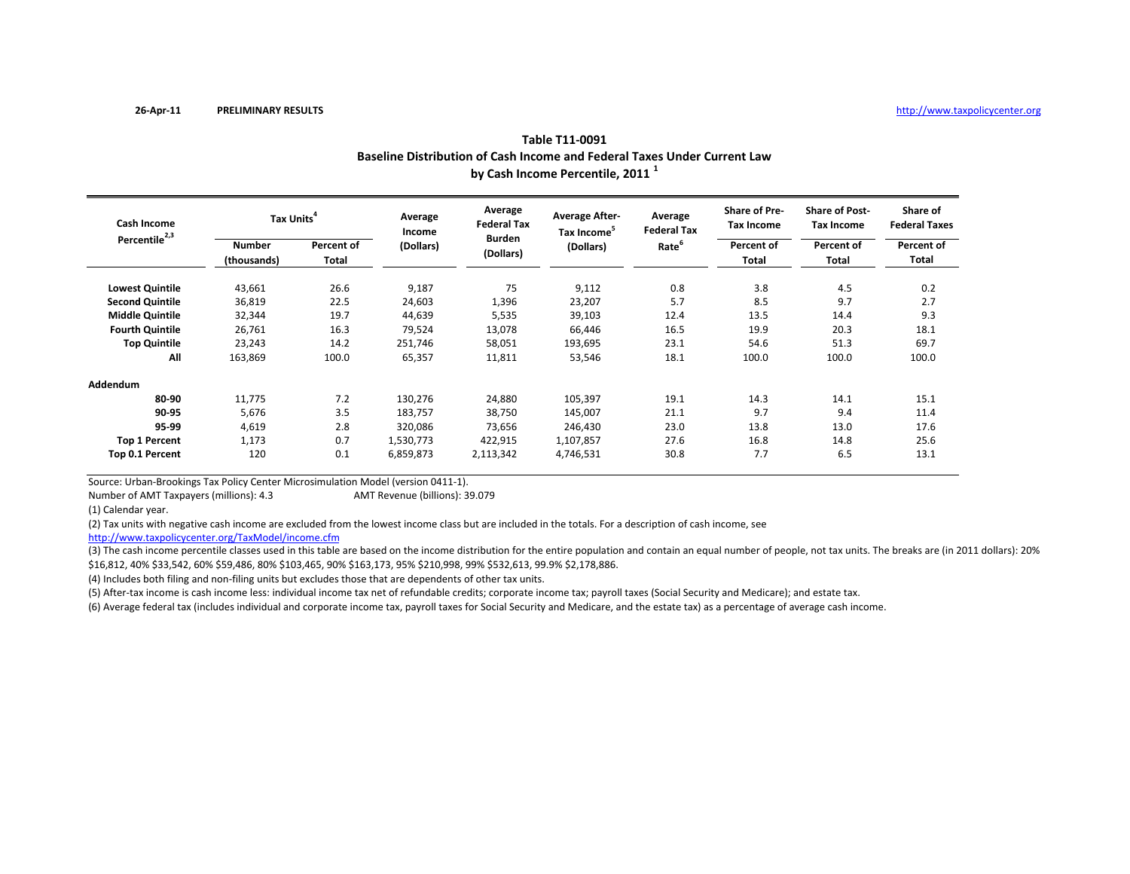|                           | Baseline Distribution of Cash Income and Federal Taxes Under Current Law<br>by Cash Income Percentile, 2011 <sup>1</sup> |                     |                   |                                                             |                                                  |                               |                                    |                                                                   |                                                         |  |  |  |
|---------------------------|--------------------------------------------------------------------------------------------------------------------------|---------------------|-------------------|-------------------------------------------------------------|--------------------------------------------------|-------------------------------|------------------------------------|-------------------------------------------------------------------|---------------------------------------------------------|--|--|--|
| <b>Cash Income</b>        | Tax Units <sup>4</sup>                                                                                                   |                     | Average<br>Income | Average<br><b>Federal Tax</b><br><b>Burden</b><br>(Dollars) | <b>Average After-</b><br>Tax Income <sup>5</sup> | Average<br><b>Federal Tax</b> | Share of Pre-<br><b>Tax Income</b> | <b>Share of Post-</b><br><b>Tax Income</b><br>Percent of<br>Total | Share of<br><b>Federal Taxes</b><br>Percent of<br>Total |  |  |  |
| Percentile <sup>2,3</sup> | <b>Number</b><br>(thousands)                                                                                             | Percent of<br>Total | (Dollars)         |                                                             | (Dollars)                                        | Rate <sup>6</sup>             | Percent of<br>Total                |                                                                   |                                                         |  |  |  |
| <b>Lowest Quintile</b>    | 43,661                                                                                                                   | 26.6                | 9,187             | 75                                                          | 9,112                                            | 0.8                           | 3.8                                | 4.5                                                               | 0.2                                                     |  |  |  |
| <b>Second Quintile</b>    | 36,819                                                                                                                   | 22.5                | 24,603            | 1,396                                                       | 23,207                                           | 5.7                           | 8.5                                | 9.7                                                               | 2.7                                                     |  |  |  |
| <b>Middle Quintile</b>    | 32,344                                                                                                                   | 19.7                | 44,639            | 5,535                                                       | 39,103                                           | 12.4                          | 13.5                               | 14.4                                                              | 9.3                                                     |  |  |  |
| <b>Fourth Quintile</b>    | 26,761                                                                                                                   | 16.3                | 79,524            | 13,078                                                      | 66,446                                           | 16.5                          | 19.9                               | 20.3                                                              | 18.1                                                    |  |  |  |
| <b>Top Quintile</b>       | 23,243                                                                                                                   | 14.2                | 251,746           | 58,051                                                      | 193,695                                          | 23.1                          | 54.6                               | 51.3                                                              | 69.7                                                    |  |  |  |
| All                       | 163,869                                                                                                                  | 100.0               | 65,357            | 11,811                                                      | 53,546                                           | 18.1                          | 100.0                              | 100.0                                                             | 100.0                                                   |  |  |  |
| Addendum                  |                                                                                                                          |                     |                   |                                                             |                                                  |                               |                                    |                                                                   |                                                         |  |  |  |
| 80-90                     | 11,775                                                                                                                   | 7.2                 | 130,276           | 24,880                                                      | 105,397                                          | 19.1                          | 14.3                               | 14.1                                                              | 15.1                                                    |  |  |  |
| 90-95                     | 5,676                                                                                                                    | 3.5                 | 183,757           | 38,750                                                      | 145,007                                          | 21.1                          | 9.7                                | 9.4                                                               | 11.4                                                    |  |  |  |
| 95-99                     | 4,619                                                                                                                    | 2.8                 | 320,086           | 73,656                                                      | 246,430                                          | 23.0                          | 13.8                               | 13.0                                                              | 17.6                                                    |  |  |  |
| <b>Top 1 Percent</b>      | 1,173                                                                                                                    | 0.7                 | 1,530,773         | 422,915                                                     | 1,107,857                                        | 27.6                          | 16.8                               | 14.8                                                              | 25.6                                                    |  |  |  |
| Top 0.1 Percent           | 120                                                                                                                      | 0.1                 | 6,859,873         | 2,113,342                                                   | 4,746,531                                        | 30.8                          | 7.7                                | 6.5                                                               | 13.1                                                    |  |  |  |

Source: Urban‐Brookings Tax Policy Center Microsimulation Model (version 0411‐1).

Number of AMTAMT Revenue (billions): 39.079

(1) Calendar year.

(2) Tax units with negative cash income are excluded from the lowest income class but are included in the totals. For <sup>a</sup> description of cash income, see

http://www.taxpolicycenter.org/TaxModel/income.cfm

(3) The cash income percentile classes used in this table are based on the income distribution for the entire population and contain an equal number of people, not tax units. The breaks are (in 2011 dollars): 20% \$16,812, 40% \$33,542, 60% \$59,486, 80% \$103,465, 90% \$163,173, 95% \$210,998, 99% \$532,613, 99.9% \$2,178,886.

(4) Includes both filing and non‐filing units but excludes those that are dependents of other tax units.

(5) After‐tax income is cash income less: individual income tax net of refundable credits; corporate income tax; payroll taxes (Social Security and Medicare); and estate tax.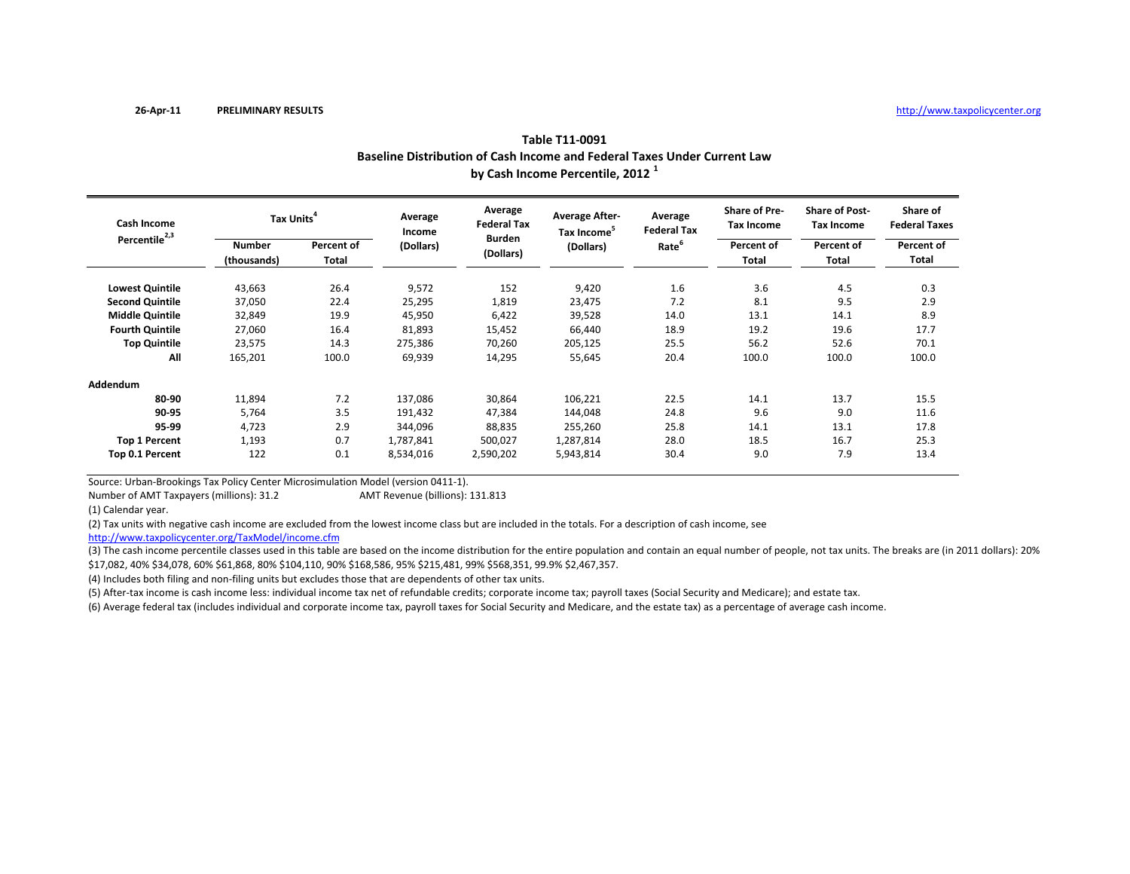|                           | Baseline Distribution of Cash Income and Federal Taxes Under Current Law<br>by Cash Income Percentile, 2012 <sup>1</sup> |                     |                   |                               |                                                  |                               |                                           |                                            |                                  |  |  |  |
|---------------------------|--------------------------------------------------------------------------------------------------------------------------|---------------------|-------------------|-------------------------------|--------------------------------------------------|-------------------------------|-------------------------------------------|--------------------------------------------|----------------------------------|--|--|--|
| Cash Income               | Tax Units <sup>4</sup>                                                                                                   |                     | Average<br>Income | Average<br><b>Federal Tax</b> | <b>Average After-</b><br>Tax Income <sup>5</sup> | Average<br><b>Federal Tax</b> | <b>Share of Pre-</b><br><b>Tax Income</b> | <b>Share of Post-</b><br><b>Tax Income</b> | Share of<br><b>Federal Taxes</b> |  |  |  |
| Percentile <sup>2,3</sup> | <b>Number</b><br>(thousands)                                                                                             | Percent of<br>Total | (Dollars)         | <b>Burden</b><br>(Dollars)    | (Dollars)                                        | Rate <sup>6</sup>             | Percent of<br>Total                       | Percent of<br>Total                        | Percent of<br>Total              |  |  |  |
| <b>Lowest Quintile</b>    | 43,663                                                                                                                   | 26.4                | 9,572             | 152                           | 9,420                                            | 1.6                           | 3.6                                       | 4.5                                        | 0.3                              |  |  |  |
| <b>Second Quintile</b>    | 37,050                                                                                                                   | 22.4                | 25,295            | 1,819                         | 23,475                                           | 7.2                           | 8.1                                       | 9.5                                        | 2.9                              |  |  |  |
| <b>Middle Quintile</b>    | 32,849                                                                                                                   | 19.9                | 45,950            | 6,422                         | 39,528                                           | 14.0                          | 13.1                                      | 14.1                                       | 8.9                              |  |  |  |
| <b>Fourth Quintile</b>    | 27,060                                                                                                                   | 16.4                | 81,893            | 15,452                        | 66,440                                           | 18.9                          | 19.2                                      | 19.6                                       | 17.7                             |  |  |  |
| <b>Top Quintile</b>       | 23,575                                                                                                                   | 14.3                | 275,386           | 70,260                        | 205,125                                          | 25.5                          | 56.2                                      | 52.6                                       | 70.1                             |  |  |  |
| All                       | 165,201                                                                                                                  | 100.0               | 69,939            | 14,295                        | 55,645                                           | 20.4                          | 100.0                                     | 100.0                                      | 100.0                            |  |  |  |
| Addendum                  |                                                                                                                          |                     |                   |                               |                                                  |                               |                                           |                                            |                                  |  |  |  |
| 80-90                     | 11,894                                                                                                                   | 7.2                 | 137,086           | 30,864                        | 106,221                                          | 22.5                          | 14.1                                      | 13.7                                       | 15.5                             |  |  |  |
| 90-95                     | 5,764                                                                                                                    | 3.5                 | 191,432           | 47,384                        | 144,048                                          | 24.8                          | 9.6                                       | 9.0                                        | 11.6                             |  |  |  |
| 95-99                     | 4,723                                                                                                                    | 2.9                 | 344,096           | 88,835                        | 255,260                                          | 25.8                          | 14.1                                      | 13.1                                       | 17.8                             |  |  |  |
| <b>Top 1 Percent</b>      | 1,193                                                                                                                    | 0.7                 | 1,787,841         | 500,027                       | 1,287,814                                        | 28.0                          | 18.5                                      | 16.7                                       | 25.3                             |  |  |  |
| Top 0.1 Percent           | 122                                                                                                                      | 0.1                 | 8,534,016         | 2,590,202                     | 5,943,814                                        | 30.4                          | 9.0                                       | 7.9                                        | 13.4                             |  |  |  |

Source: Urban‐Brookings Tax Policy Center Microsimulation Model (version 0411‐1).

Number of AMTAMT Revenue (billions): 131.813

(1) Calendar year.

(2) Tax units with negative cash income are excluded from the lowest income class but are included in the totals. For <sup>a</sup> description of cash income, see

http://www.taxpolicycenter.org/TaxModel/income.cfm

(3) The cash income percentile classes used in this table are based on the income distribution for the entire population and contain an equal number of people, not tax units. The breaks are (in 2011 dollars): 20% \$17,082, 40% \$34,078, 60% \$61,868, 80% \$104,110, 90% \$168,586, 95% \$215,481, 99% \$568,351, 99.9% \$2,467,357.

(4) Includes both filing and non‐filing units but excludes those that are dependents of other tax units.

(5) After‐tax income is cash income less: individual income tax net of refundable credits; corporate income tax; payroll taxes (Social Security and Medicare); and estate tax.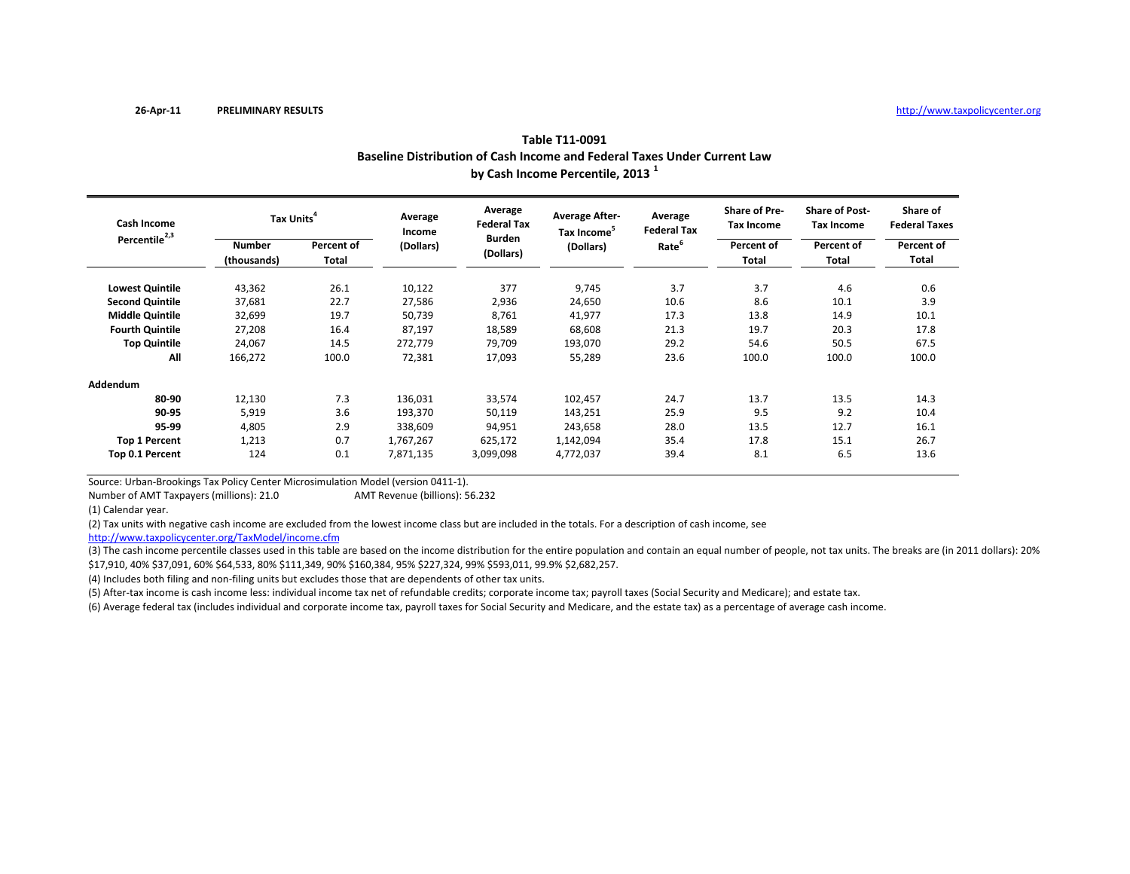|                           | Baseline Distribution of Cash Income and Federal Taxes Under Current Law<br>by Cash Income Percentile, 2013 <sup>1</sup> |                            |                   |                               |                                                  |                               |                                    |                                     |                                  |  |  |  |
|---------------------------|--------------------------------------------------------------------------------------------------------------------------|----------------------------|-------------------|-------------------------------|--------------------------------------------------|-------------------------------|------------------------------------|-------------------------------------|----------------------------------|--|--|--|
| <b>Cash Income</b>        | Tax Units <sup>4</sup>                                                                                                   |                            | Average<br>Income | Average<br><b>Federal Tax</b> | <b>Average After-</b><br>Tax Income <sup>5</sup> | Average<br><b>Federal Tax</b> | Share of Pre-<br><b>Tax Income</b> | <b>Share of Post-</b><br>Tax Income | Share of<br><b>Federal Taxes</b> |  |  |  |
| Percentile <sup>2,3</sup> | <b>Number</b><br>(thousands)                                                                                             | Percent of<br><b>Total</b> | (Dollars)         | <b>Burden</b><br>(Dollars)    | (Dollars)                                        | Rate <sup>6</sup>             | Percent of<br>Total                | Percent of<br>Total                 | Percent of<br>Total              |  |  |  |
| <b>Lowest Quintile</b>    | 43,362                                                                                                                   | 26.1                       | 10,122            | 377                           | 9,745                                            | 3.7                           | 3.7                                | 4.6                                 | 0.6                              |  |  |  |
| <b>Second Quintile</b>    | 37,681                                                                                                                   | 22.7                       | 27,586            | 2,936                         | 24,650                                           | 10.6                          | 8.6                                | 10.1                                | 3.9                              |  |  |  |
| <b>Middle Quintile</b>    | 32,699                                                                                                                   | 19.7                       | 50,739            | 8,761                         | 41,977                                           | 17.3                          | 13.8                               | 14.9                                | 10.1                             |  |  |  |
| <b>Fourth Quintile</b>    | 27,208                                                                                                                   | 16.4                       | 87,197            | 18,589                        | 68,608                                           | 21.3                          | 19.7                               | 20.3                                | 17.8                             |  |  |  |
| <b>Top Quintile</b>       | 24,067                                                                                                                   | 14.5                       | 272,779           | 79,709                        | 193,070                                          | 29.2                          | 54.6                               | 50.5                                | 67.5                             |  |  |  |
| All                       | 166,272                                                                                                                  | 100.0                      | 72,381            | 17,093                        | 55,289                                           | 23.6                          | 100.0                              | 100.0                               | 100.0                            |  |  |  |
| Addendum                  |                                                                                                                          |                            |                   |                               |                                                  |                               |                                    |                                     |                                  |  |  |  |
| 80-90                     | 12,130                                                                                                                   | 7.3                        | 136,031           | 33,574                        | 102,457                                          | 24.7                          | 13.7                               | 13.5                                | 14.3                             |  |  |  |
| 90-95                     | 5,919                                                                                                                    | 3.6                        | 193,370           | 50,119                        | 143,251                                          | 25.9                          | 9.5                                | 9.2                                 | 10.4                             |  |  |  |
| 95-99                     | 4,805                                                                                                                    | 2.9                        | 338,609           | 94,951                        | 243,658                                          | 28.0                          | 13.5                               | 12.7                                | 16.1                             |  |  |  |
| <b>Top 1 Percent</b>      | 1,213                                                                                                                    | 0.7                        | 1,767,267         | 625,172                       | 1,142,094                                        | 35.4                          | 17.8                               | 15.1                                | 26.7                             |  |  |  |
| Top 0.1 Percent           | 124                                                                                                                      | 0.1                        | 7,871,135         | 3,099,098                     | 4,772,037                                        | 39.4                          | 8.1                                | 6.5                                 | 13.6                             |  |  |  |

Source: Urban‐Brookings Tax Policy Center Microsimulation Model (version 0411‐1).

Number of AMTAMT Revenue (billions): 56.232

(1) Calendar year.

(2) Tax units with negative cash income are excluded from the lowest income class but are included in the totals. For <sup>a</sup> description of cash income, see

http://www.taxpolicycenter.org/TaxModel/income.cfm

(3) The cash income percentile classes used in this table are based on the income distribution for the entire population and contain an equal number of people, not tax units. The breaks are (in 2011 dollars): 20% \$17,910, 40% \$37,091, 60% \$64,533, 80% \$111,349, 90% \$160,384, 95% \$227,324, 99% \$593,011, 99.9% \$2,682,257.

(4) Includes both filing and non‐filing units but excludes those that are dependents of other tax units.

(5) After‐tax income is cash income less: individual income tax net of refundable credits; corporate income tax; payroll taxes (Social Security and Medicare); and estate tax.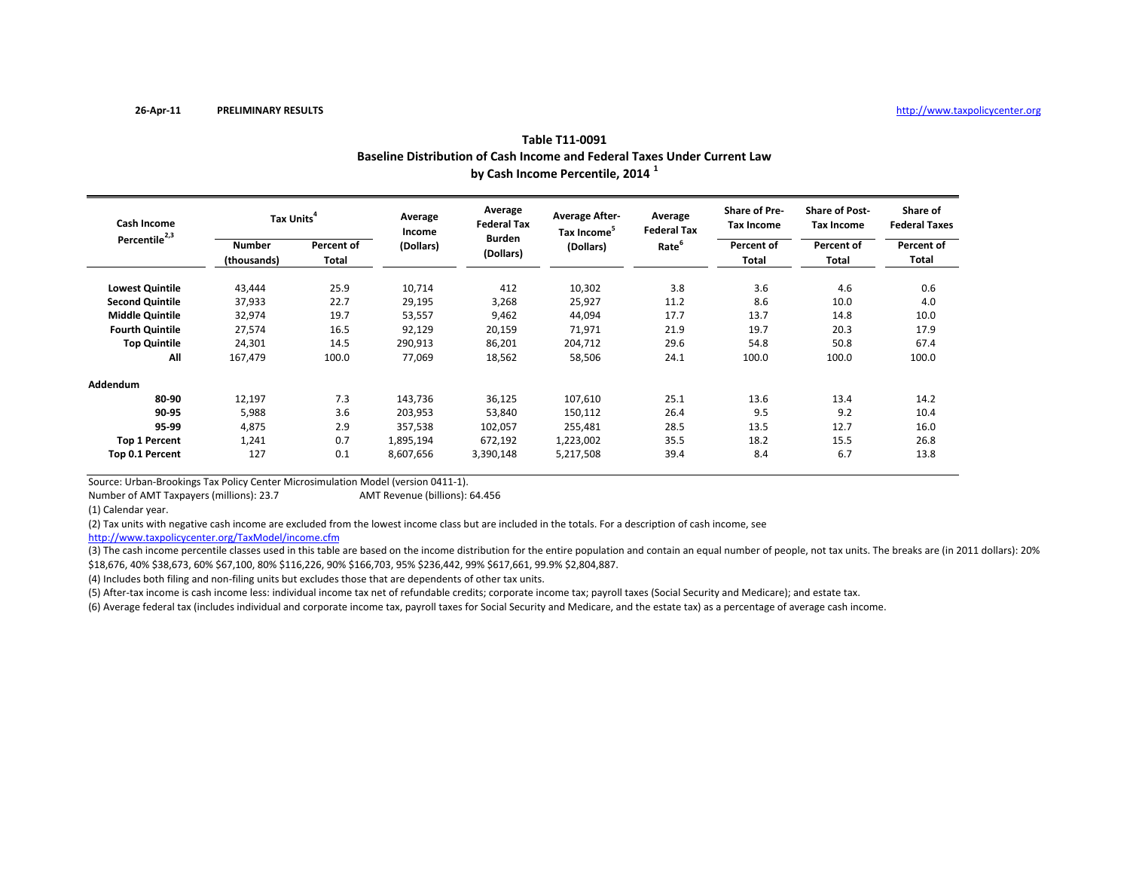|                           | Baseline Distribution of Cash Income and Federal Taxes Under Current Law<br>by Cash Income Percentile, 2014 <sup>1</sup> |                     |                   |                                                             |                                                               |                                                    |                                                                  |                                                            |                                  |  |  |  |
|---------------------------|--------------------------------------------------------------------------------------------------------------------------|---------------------|-------------------|-------------------------------------------------------------|---------------------------------------------------------------|----------------------------------------------------|------------------------------------------------------------------|------------------------------------------------------------|----------------------------------|--|--|--|
| Cash Income               | Tax Units <sup>4</sup>                                                                                                   |                     | Average<br>Income | Average<br><b>Federal Tax</b><br><b>Burden</b><br>(Dollars) | <b>Average After-</b><br>Tax Income <sup>5</sup><br>(Dollars) | Average<br><b>Federal Tax</b><br>Rate <sup>6</sup> | <b>Share of Pre-</b><br><b>Tax Income</b><br>Percent of<br>Total | <b>Share of Post-</b><br>Tax Income<br>Percent of<br>Total | Share of<br><b>Federal Taxes</b> |  |  |  |
| Percentile <sup>2,3</sup> | <b>Number</b><br>(thousands)                                                                                             | Percent of<br>Total | (Dollars)         |                                                             |                                                               |                                                    |                                                                  |                                                            | Percent of<br>Total              |  |  |  |
| <b>Lowest Quintile</b>    | 43,444                                                                                                                   | 25.9                | 10,714            | 412                                                         | 10,302                                                        | 3.8                                                | 3.6                                                              | 4.6                                                        | 0.6                              |  |  |  |
| <b>Second Quintile</b>    | 37,933                                                                                                                   | 22.7                | 29,195            | 3,268                                                       | 25,927                                                        | 11.2                                               | 8.6                                                              | 10.0                                                       | 4.0                              |  |  |  |
| <b>Middle Quintile</b>    | 32,974                                                                                                                   | 19.7                | 53,557            | 9,462                                                       | 44,094                                                        | 17.7                                               | 13.7                                                             | 14.8                                                       | 10.0                             |  |  |  |
| <b>Fourth Quintile</b>    | 27,574                                                                                                                   | 16.5                | 92,129            | 20,159                                                      | 71,971                                                        | 21.9                                               | 19.7                                                             | 20.3                                                       | 17.9                             |  |  |  |
| <b>Top Quintile</b>       | 24,301                                                                                                                   | 14.5                | 290,913           | 86,201                                                      | 204,712                                                       | 29.6                                               | 54.8                                                             | 50.8                                                       | 67.4                             |  |  |  |
| All                       | 167,479                                                                                                                  | 100.0               | 77,069            | 18,562                                                      | 58,506                                                        | 24.1                                               | 100.0                                                            | 100.0                                                      | 100.0                            |  |  |  |
| Addendum                  |                                                                                                                          |                     |                   |                                                             |                                                               |                                                    |                                                                  |                                                            |                                  |  |  |  |
| 80-90                     | 12,197                                                                                                                   | 7.3                 | 143,736           | 36,125                                                      | 107,610                                                       | 25.1                                               | 13.6                                                             | 13.4                                                       | 14.2                             |  |  |  |
| 90-95                     | 5,988                                                                                                                    | 3.6                 | 203,953           | 53,840                                                      | 150,112                                                       | 26.4                                               | 9.5                                                              | 9.2                                                        | 10.4                             |  |  |  |
| 95-99                     | 4,875                                                                                                                    | 2.9                 | 357,538           | 102,057                                                     | 255,481                                                       | 28.5                                               | 13.5                                                             | 12.7                                                       | 16.0                             |  |  |  |
| <b>Top 1 Percent</b>      | 1,241                                                                                                                    | 0.7                 | 1,895,194         | 672,192                                                     | 1,223,002                                                     | 35.5                                               | 18.2                                                             | 15.5                                                       | 26.8                             |  |  |  |
| Top 0.1 Percent           | 127                                                                                                                      | 0.1                 | 8,607,656         | 3,390,148                                                   | 5,217,508                                                     | 39.4                                               | 8.4                                                              | 6.7                                                        | 13.8                             |  |  |  |

Source: Urban‐Brookings Tax Policy Center Microsimulation Model (version 0411‐1).

Number of AMTAMT Revenue (billions): 64.456

(1) Calendar year.

(2) Tax units with negative cash income are excluded from the lowest income class but are included in the totals. For <sup>a</sup> description of cash income, see

http://www.taxpolicycenter.org/TaxModel/income.cfm

(3) The cash income percentile classes used in this table are based on the income distribution for the entire population and contain an equal number of people, not tax units. The breaks are (in 2011 dollars): 20% \$18,676, 40% \$38,673, 60% \$67,100, 80% \$116,226, 90% \$166,703, 95% \$236,442, 99% \$617,661, 99.9% \$2,804,887.

(4) Includes both filing and non‐filing units but excludes those that are dependents of other tax units.

(5) After‐tax income is cash income less: individual income tax net of refundable credits; corporate income tax; payroll taxes (Social Security and Medicare); and estate tax.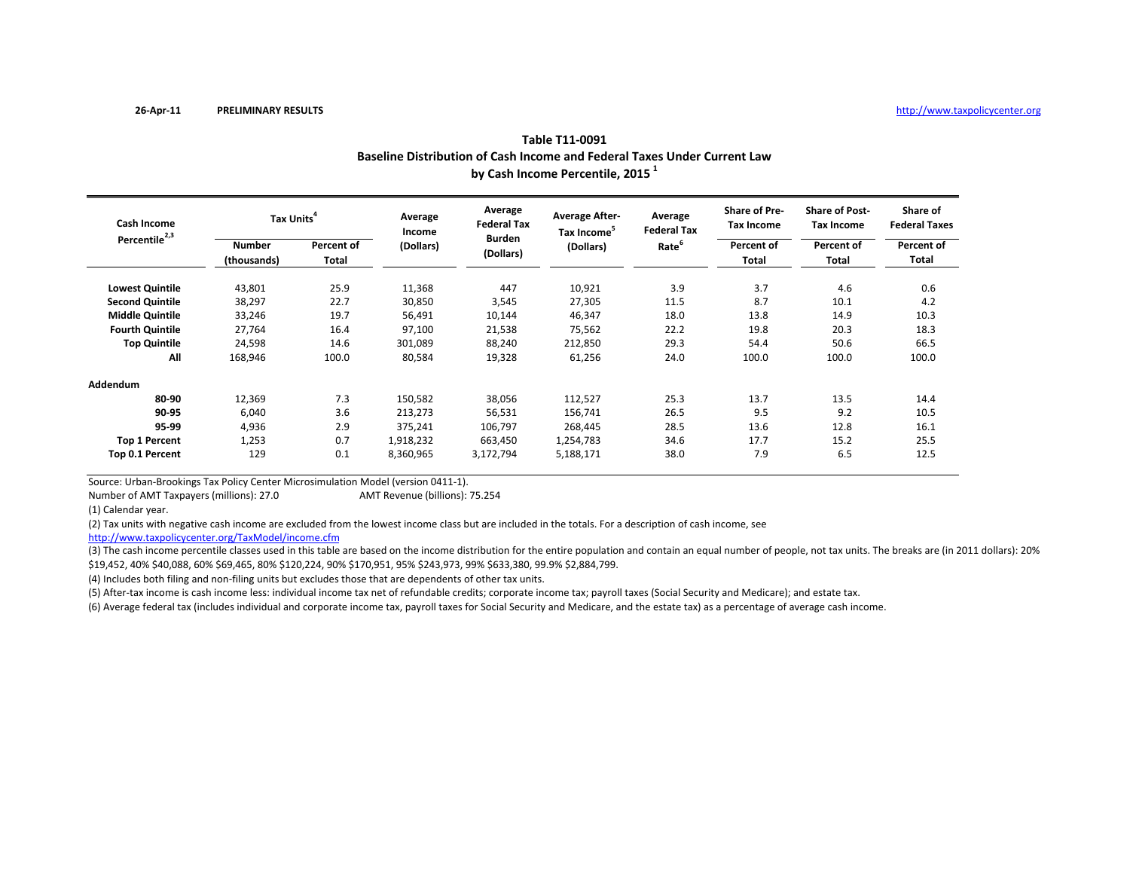|                           | Baseline Distribution of Cash Income and Federal Taxes Under Current Law<br>by Cash Income Percentile, 2015 <sup>1</sup> |                     |                   |                               |                                                  |                               |                                           |                                            |                                  |  |  |  |
|---------------------------|--------------------------------------------------------------------------------------------------------------------------|---------------------|-------------------|-------------------------------|--------------------------------------------------|-------------------------------|-------------------------------------------|--------------------------------------------|----------------------------------|--|--|--|
| Cash Income               | Tax Units <sup>4</sup>                                                                                                   |                     | Average<br>Income | Average<br><b>Federal Tax</b> | <b>Average After-</b><br>Tax Income <sup>5</sup> | Average<br><b>Federal Tax</b> | <b>Share of Pre-</b><br><b>Tax Income</b> | <b>Share of Post-</b><br><b>Tax Income</b> | Share of<br><b>Federal Taxes</b> |  |  |  |
| Percentile <sup>2,3</sup> | <b>Number</b><br>(thousands)                                                                                             | Percent of<br>Total | (Dollars)         | <b>Burden</b><br>(Dollars)    | (Dollars)                                        | Rate <sup>6</sup>             | Percent of<br><b>Total</b>                | Percent of<br>Total                        | Percent of<br>Total              |  |  |  |
| <b>Lowest Quintile</b>    | 43,801                                                                                                                   | 25.9                | 11,368            | 447                           | 10,921                                           | 3.9                           | 3.7                                       | 4.6                                        | 0.6                              |  |  |  |
| <b>Second Quintile</b>    | 38,297                                                                                                                   | 22.7                | 30,850            | 3,545                         | 27,305                                           | 11.5                          | 8.7                                       | 10.1                                       | 4.2                              |  |  |  |
| <b>Middle Quintile</b>    | 33,246                                                                                                                   | 19.7                | 56,491            | 10,144                        | 46,347                                           | 18.0                          | 13.8                                      | 14.9                                       | 10.3                             |  |  |  |
| <b>Fourth Quintile</b>    | 27,764                                                                                                                   | 16.4                | 97,100            | 21,538                        | 75,562                                           | 22.2                          | 19.8                                      | 20.3                                       | 18.3                             |  |  |  |
| <b>Top Quintile</b>       | 24,598                                                                                                                   | 14.6                | 301,089           | 88,240                        | 212,850                                          | 29.3                          | 54.4                                      | 50.6                                       | 66.5                             |  |  |  |
| All                       | 168,946                                                                                                                  | 100.0               | 80,584            | 19,328                        | 61,256                                           | 24.0                          | 100.0                                     | 100.0                                      | 100.0                            |  |  |  |
| Addendum                  |                                                                                                                          |                     |                   |                               |                                                  |                               |                                           |                                            |                                  |  |  |  |
| 80-90                     | 12,369                                                                                                                   | 7.3                 | 150,582           | 38,056                        | 112,527                                          | 25.3                          | 13.7                                      | 13.5                                       | 14.4                             |  |  |  |
| 90-95                     | 6,040                                                                                                                    | 3.6                 | 213,273           | 56,531                        | 156,741                                          | 26.5                          | 9.5                                       | 9.2                                        | 10.5                             |  |  |  |
| 95-99                     | 4,936                                                                                                                    | 2.9                 | 375,241           | 106,797                       | 268,445                                          | 28.5                          | 13.6                                      | 12.8                                       | 16.1                             |  |  |  |
| <b>Top 1 Percent</b>      | 1,253                                                                                                                    | 0.7                 | 1,918,232         | 663,450                       | 1,254,783                                        | 34.6                          | 17.7                                      | 15.2                                       | 25.5                             |  |  |  |
| Top 0.1 Percent           | 129                                                                                                                      | 0.1                 | 8,360,965         | 3,172,794                     | 5,188,171                                        | 38.0                          | 7.9                                       | 6.5                                        | 12.5                             |  |  |  |

Source: Urban‐Brookings Tax Policy Center Microsimulation Model (version 0411‐1).

Number of AMTAMT Revenue (billions): 75.254

(1) Calendar year.

(2) Tax units with negative cash income are excluded from the lowest income class but are included in the totals. For <sup>a</sup> description of cash income, see

http://www.taxpolicycenter.org/TaxModel/income.cfm

(3) The cash income percentile classes used in this table are based on the income distribution for the entire population and contain an equal number of people, not tax units. The breaks are (in 2011 dollars): 20% \$19,452, 40% \$40,088, 60% \$69,465, 80% \$120,224, 90% \$170,951, 95% \$243,973, 99% \$633,380, 99.9% \$2,884,799.

(4) Includes both filing and non‐filing units but excludes those that are dependents of other tax units.

(5) After‐tax income is cash income less: individual income tax net of refundable credits; corporate income tax; payroll taxes (Social Security and Medicare); and estate tax.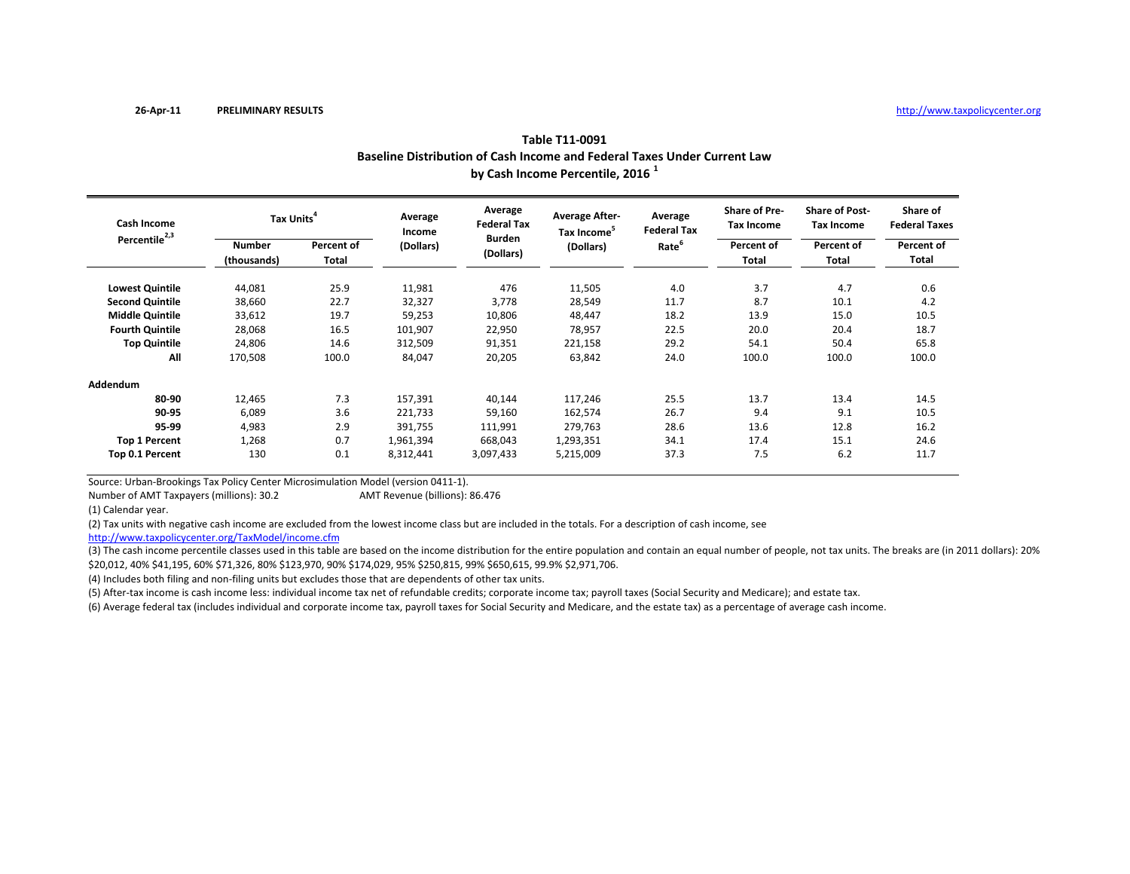|                                                 | Baseline Distribution of Cash Income and Federal Taxes Under Current Law<br>by Cash Income Percentile, 2016 <sup>1</sup> |                     |                   |                               |                                                  |                               |                                           |                                            |                                  |  |  |
|-------------------------------------------------|--------------------------------------------------------------------------------------------------------------------------|---------------------|-------------------|-------------------------------|--------------------------------------------------|-------------------------------|-------------------------------------------|--------------------------------------------|----------------------------------|--|--|
| <b>Cash Income</b><br>Percentile <sup>2,3</sup> | Tax Units <sup>4</sup>                                                                                                   |                     | Average<br>Income | Average<br><b>Federal Tax</b> | <b>Average After-</b><br>Tax Income <sup>5</sup> | Average<br><b>Federal Tax</b> | <b>Share of Pre-</b><br><b>Tax Income</b> | <b>Share of Post-</b><br><b>Tax Income</b> | Share of<br><b>Federal Taxes</b> |  |  |
|                                                 | <b>Number</b><br>(thousands)                                                                                             | Percent of<br>Total | (Dollars)         | <b>Burden</b><br>(Dollars)    | (Dollars)                                        | Rate <sup>6</sup>             | Percent of<br>Total                       | Percent of<br>Total                        | Percent of<br>Total              |  |  |
| <b>Lowest Quintile</b>                          | 44,081                                                                                                                   | 25.9                | 11,981            | 476                           | 11,505                                           | 4.0                           | 3.7                                       | 4.7                                        | 0.6                              |  |  |
| <b>Second Quintile</b>                          | 38,660                                                                                                                   | 22.7                | 32,327            | 3,778                         | 28,549                                           | 11.7                          | 8.7                                       | 10.1                                       | 4.2                              |  |  |
| <b>Middle Quintile</b>                          | 33,612                                                                                                                   | 19.7                | 59,253            | 10,806                        | 48,447                                           | 18.2                          | 13.9                                      | 15.0                                       | 10.5                             |  |  |
| <b>Fourth Quintile</b>                          | 28,068                                                                                                                   | 16.5                | 101,907           | 22,950                        | 78,957                                           | 22.5                          | 20.0                                      | 20.4                                       | 18.7                             |  |  |
| <b>Top Quintile</b>                             | 24,806                                                                                                                   | 14.6                | 312,509           | 91,351                        | 221,158                                          | 29.2                          | 54.1                                      | 50.4                                       | 65.8                             |  |  |
| All                                             | 170,508                                                                                                                  | 100.0               | 84,047            | 20,205                        | 63,842                                           | 24.0                          | 100.0                                     | 100.0                                      | 100.0                            |  |  |
| Addendum                                        |                                                                                                                          |                     |                   |                               |                                                  |                               |                                           |                                            |                                  |  |  |
| 80-90                                           | 12,465                                                                                                                   | 7.3                 | 157,391           | 40,144                        | 117,246                                          | 25.5                          | 13.7                                      | 13.4                                       | 14.5                             |  |  |
| 90-95                                           | 6,089                                                                                                                    | 3.6                 | 221,733           | 59,160                        | 162,574                                          | 26.7                          | 9.4                                       | 9.1                                        | 10.5                             |  |  |
| 95-99                                           | 4,983                                                                                                                    | 2.9                 | 391,755           | 111,991                       | 279,763                                          | 28.6                          | 13.6                                      | 12.8                                       | 16.2                             |  |  |
| <b>Top 1 Percent</b>                            | 1,268                                                                                                                    | 0.7                 | 1,961,394         | 668,043                       | 1,293,351                                        | 34.1                          | 17.4                                      | 15.1                                       | 24.6                             |  |  |
| Top 0.1 Percent                                 | 130                                                                                                                      | 0.1                 | 8,312,441         | 3,097,433                     | 5,215,009                                        | 37.3                          | 7.5                                       | 6.2                                        | 11.7                             |  |  |

Source: Urban‐Brookings Tax Policy Center Microsimulation Model (version 0411‐1).

Number of AMTAMT Revenue (billions): 86.476

(1) Calendar year.

(2) Tax units with negative cash income are excluded from the lowest income class but are included in the totals. For <sup>a</sup> description of cash income, see

http://www.taxpolicycenter.org/TaxModel/income.cfm

(3) The cash income percentile classes used in this table are based on the income distribution for the entire population and contain an equal number of people, not tax units. The breaks are (in 2011 dollars): 20% \$20,012, 40% \$41,195, 60% \$71,326, 80% \$123,970, 90% \$174,029, 95% \$250,815, 99% \$650,615, 99.9% \$2,971,706.

(4) Includes both filing and non‐filing units but excludes those that are dependents of other tax units.

(5) After‐tax income is cash income less: individual income tax net of refundable credits; corporate income tax; payroll taxes (Social Security and Medicare); and estate tax.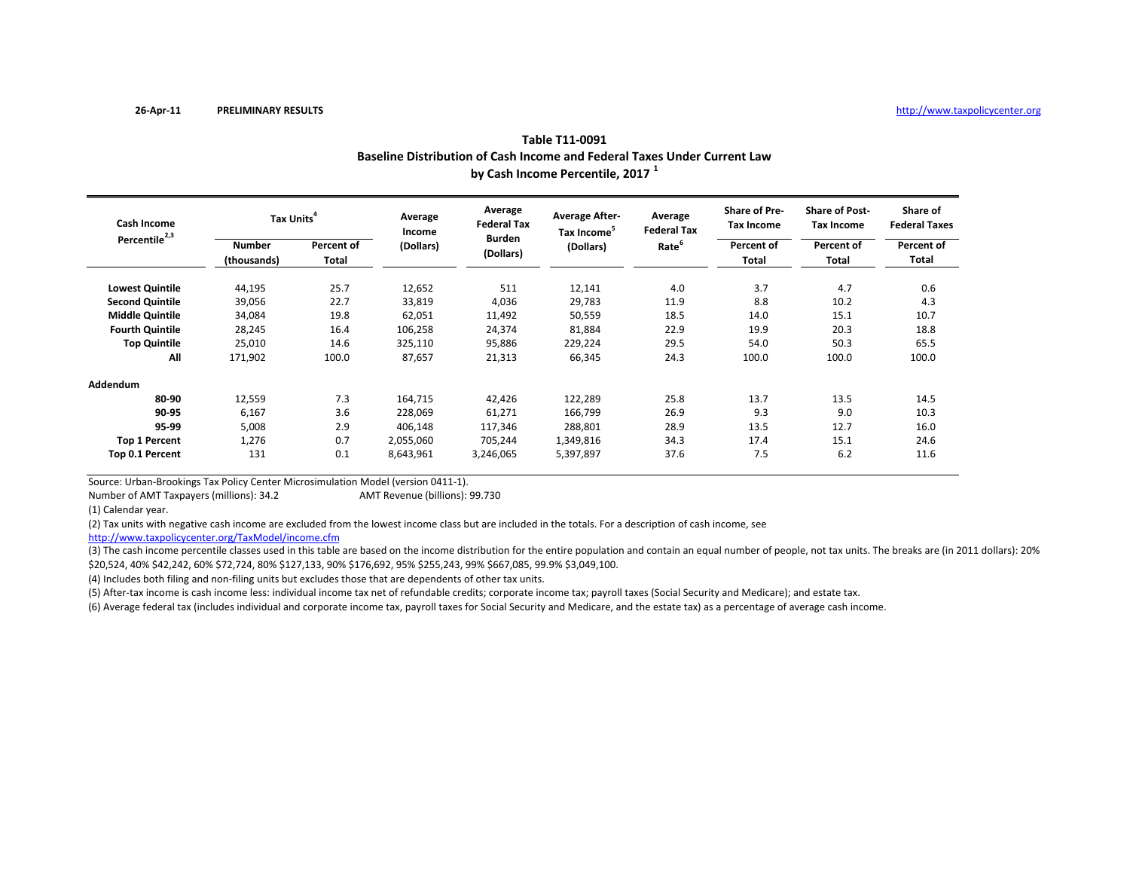|                                                 | Baseline Distribution of Cash Income and Federal Taxes Under Current Law<br>by Cash Income Percentile, 2017 <sup>1</sup> |                     |                   |                            |                                                  |                               |                                           |                                     |                                  |  |  |
|-------------------------------------------------|--------------------------------------------------------------------------------------------------------------------------|---------------------|-------------------|----------------------------|--------------------------------------------------|-------------------------------|-------------------------------------------|-------------------------------------|----------------------------------|--|--|
| <b>Cash Income</b><br>Percentile <sup>2,3</sup> | Tax Units <sup>4</sup>                                                                                                   |                     | Average<br>Income | Average<br>Federal Tax     | <b>Average After-</b><br>Tax Income <sup>5</sup> | Average<br><b>Federal Tax</b> | <b>Share of Pre-</b><br><b>Tax Income</b> | <b>Share of Post-</b><br>Tax Income | Share of<br><b>Federal Taxes</b> |  |  |
|                                                 | <b>Number</b><br>(thousands)                                                                                             | Percent of<br>Total | (Dollars)         | <b>Burden</b><br>(Dollars) | (Dollars)                                        | Rate <sup>6</sup>             | Percent of<br>Total                       | Percent of<br>Total                 | Percent of<br>Total              |  |  |
| <b>Lowest Quintile</b>                          | 44,195                                                                                                                   | 25.7                | 12,652            | 511                        | 12,141                                           | 4.0                           | 3.7                                       | 4.7                                 | 0.6                              |  |  |
| <b>Second Quintile</b>                          | 39,056                                                                                                                   | 22.7                | 33,819            | 4,036                      | 29,783                                           | 11.9                          | 8.8                                       | 10.2                                | 4.3                              |  |  |
| <b>Middle Quintile</b>                          | 34,084                                                                                                                   | 19.8                | 62,051            | 11,492                     | 50,559                                           | 18.5                          | 14.0                                      | 15.1                                | 10.7                             |  |  |
| <b>Fourth Quintile</b>                          | 28,245                                                                                                                   | 16.4                | 106,258           | 24,374                     | 81,884                                           | 22.9                          | 19.9                                      | 20.3                                | 18.8                             |  |  |
| <b>Top Quintile</b>                             | 25,010                                                                                                                   | 14.6                | 325,110           | 95,886                     | 229,224                                          | 29.5                          | 54.0                                      | 50.3                                | 65.5                             |  |  |
| All                                             | 171,902                                                                                                                  | 100.0               | 87,657            | 21,313                     | 66,345                                           | 24.3                          | 100.0                                     | 100.0                               | 100.0                            |  |  |
| Addendum                                        |                                                                                                                          |                     |                   |                            |                                                  |                               |                                           |                                     |                                  |  |  |
| 80-90                                           | 12,559                                                                                                                   | 7.3                 | 164,715           | 42,426                     | 122,289                                          | 25.8                          | 13.7                                      | 13.5                                | 14.5                             |  |  |
| 90-95                                           | 6,167                                                                                                                    | 3.6                 | 228,069           | 61,271                     | 166,799                                          | 26.9                          | 9.3                                       | 9.0                                 | 10.3                             |  |  |
| 95-99                                           | 5,008                                                                                                                    | 2.9                 | 406,148           | 117,346                    | 288,801                                          | 28.9                          | 13.5                                      | 12.7                                | 16.0                             |  |  |
| <b>Top 1 Percent</b>                            | 1,276                                                                                                                    | 0.7                 | 2,055,060         | 705,244                    | 1,349,816                                        | 34.3                          | 17.4                                      | 15.1                                | 24.6                             |  |  |
| Top 0.1 Percent                                 | 131                                                                                                                      | 0.1                 | 8,643,961         | 3,246,065                  | 5,397,897                                        | 37.6                          | 7.5                                       | 6.2                                 | 11.6                             |  |  |

Source: Urban‐Brookings Tax Policy Center Microsimulation Model (version 0411‐1).

Number of AMTAMT Revenue (billions): 99.730

(1) Calendar year.

(2) Tax units with negative cash income are excluded from the lowest income class but are included in the totals. For <sup>a</sup> description of cash income, see

http://www.taxpolicycenter.org/TaxModel/income.cfm

(3) The cash income percentile classes used in this table are based on the income distribution for the entire population and contain an equal number of people, not tax units. The breaks are (in 2011 dollars): 20% \$20,524, 40% \$42,242, 60% \$72,724, 80% \$127,133, 90% \$176,692, 95% \$255,243, 99% \$667,085, 99.9% \$3,049,100.

(4) Includes both filing and non‐filing units but excludes those that are dependents of other tax units.

(5) After‐tax income is cash income less: individual income tax net of refundable credits; corporate income tax; payroll taxes (Social Security and Medicare); and estate tax.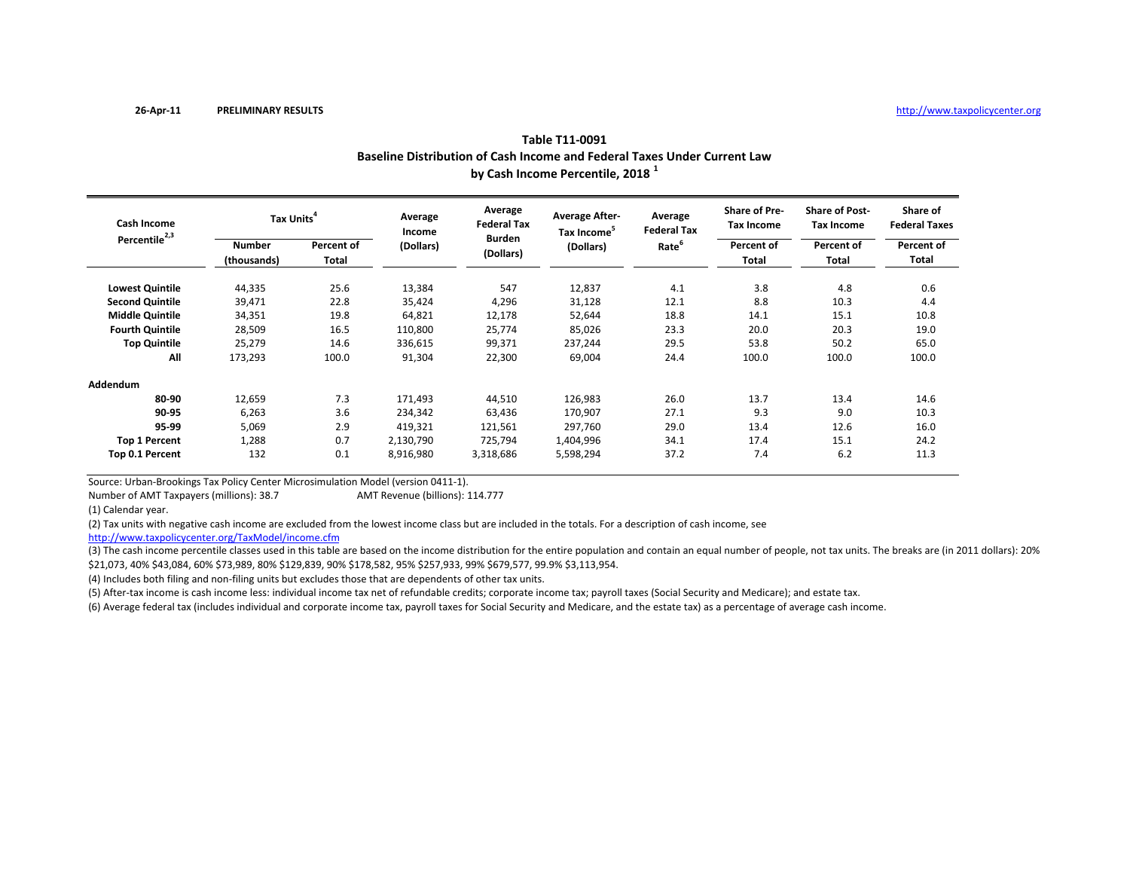|                                          | Baseline Distribution of Cash Income and Federal Taxes Under Current Law<br>by Cash Income Percentile, 2018 <sup>1</sup> |                     |                   |                               |                                                  |                               |                                           |                                            |                                  |  |  |
|------------------------------------------|--------------------------------------------------------------------------------------------------------------------------|---------------------|-------------------|-------------------------------|--------------------------------------------------|-------------------------------|-------------------------------------------|--------------------------------------------|----------------------------------|--|--|
| Cash Income<br>Percentile <sup>2,3</sup> | Tax Units <sup>4</sup>                                                                                                   |                     | Average<br>Income | Average<br><b>Federal Tax</b> | <b>Average After-</b><br>Tax Income <sup>5</sup> | Average<br><b>Federal Tax</b> | <b>Share of Pre-</b><br><b>Tax Income</b> | <b>Share of Post-</b><br><b>Tax Income</b> | Share of<br><b>Federal Taxes</b> |  |  |
|                                          | <b>Number</b><br>(thousands)                                                                                             | Percent of<br>Total | (Dollars)         | <b>Burden</b><br>(Dollars)    | (Dollars)                                        | Rate <sup>6</sup>             | Percent of<br><b>Total</b>                | Percent of<br>Total                        | Percent of<br>Total              |  |  |
| <b>Lowest Quintile</b>                   | 44,335                                                                                                                   | 25.6                | 13,384            | 547                           | 12,837                                           | 4.1                           | 3.8                                       | 4.8                                        | 0.6                              |  |  |
| <b>Second Quintile</b>                   | 39,471                                                                                                                   | 22.8                | 35,424            | 4,296                         | 31,128                                           | 12.1                          | 8.8                                       | 10.3                                       | 4.4                              |  |  |
| <b>Middle Quintile</b>                   | 34,351                                                                                                                   | 19.8                | 64,821            | 12,178                        | 52,644                                           | 18.8                          | 14.1                                      | 15.1                                       | 10.8                             |  |  |
| <b>Fourth Quintile</b>                   | 28,509                                                                                                                   | 16.5                | 110,800           | 25,774                        | 85,026                                           | 23.3                          | 20.0                                      | 20.3                                       | 19.0                             |  |  |
| <b>Top Quintile</b>                      | 25,279                                                                                                                   | 14.6                | 336,615           | 99,371                        | 237,244                                          | 29.5                          | 53.8                                      | 50.2                                       | 65.0                             |  |  |
| All                                      | 173,293                                                                                                                  | 100.0               | 91,304            | 22,300                        | 69,004                                           | 24.4                          | 100.0                                     | 100.0                                      | 100.0                            |  |  |
| Addendum                                 |                                                                                                                          |                     |                   |                               |                                                  |                               |                                           |                                            |                                  |  |  |
| 80-90                                    | 12,659                                                                                                                   | 7.3                 | 171,493           | 44,510                        | 126,983                                          | 26.0                          | 13.7                                      | 13.4                                       | 14.6                             |  |  |
| 90-95                                    | 6,263                                                                                                                    | 3.6                 | 234,342           | 63,436                        | 170,907                                          | 27.1                          | 9.3                                       | 9.0                                        | 10.3                             |  |  |
| 95-99                                    | 5,069                                                                                                                    | 2.9                 | 419,321           | 121,561                       | 297,760                                          | 29.0                          | 13.4                                      | 12.6                                       | 16.0                             |  |  |
| <b>Top 1 Percent</b>                     | 1,288                                                                                                                    | 0.7                 | 2,130,790         | 725,794                       | 1,404,996                                        | 34.1                          | 17.4                                      | 15.1                                       | 24.2                             |  |  |
| Top 0.1 Percent                          | 132                                                                                                                      | 0.1                 | 8,916,980         | 3,318,686                     | 5,598,294                                        | 37.2                          | 7.4                                       | 6.2                                        | 11.3                             |  |  |

Source: Urban‐Brookings Tax Policy Center Microsimulation Model (version 0411‐1).

Number of AMTAMT Revenue (billions): 114.777

(1) Calendar year.

(2) Tax units with negative cash income are excluded from the lowest income class but are included in the totals. For <sup>a</sup> description of cash income, see

http://www.taxpolicycenter.org/TaxModel/income.cfm

(3) The cash income percentile classes used in this table are based on the income distribution for the entire population and contain an equal number of people, not tax units. The breaks are (in 2011 dollars): 20% \$21,073, 40% \$43,084, 60% \$73,989, 80% \$129,839, 90% \$178,582, 95% \$257,933, 99% \$679,577, 99.9% \$3,113,954.

(4) Includes both filing and non‐filing units but excludes those that are dependents of other tax units.

(5) After‐tax income is cash income less: individual income tax net of refundable credits; corporate income tax; payroll taxes (Social Security and Medicare); and estate tax.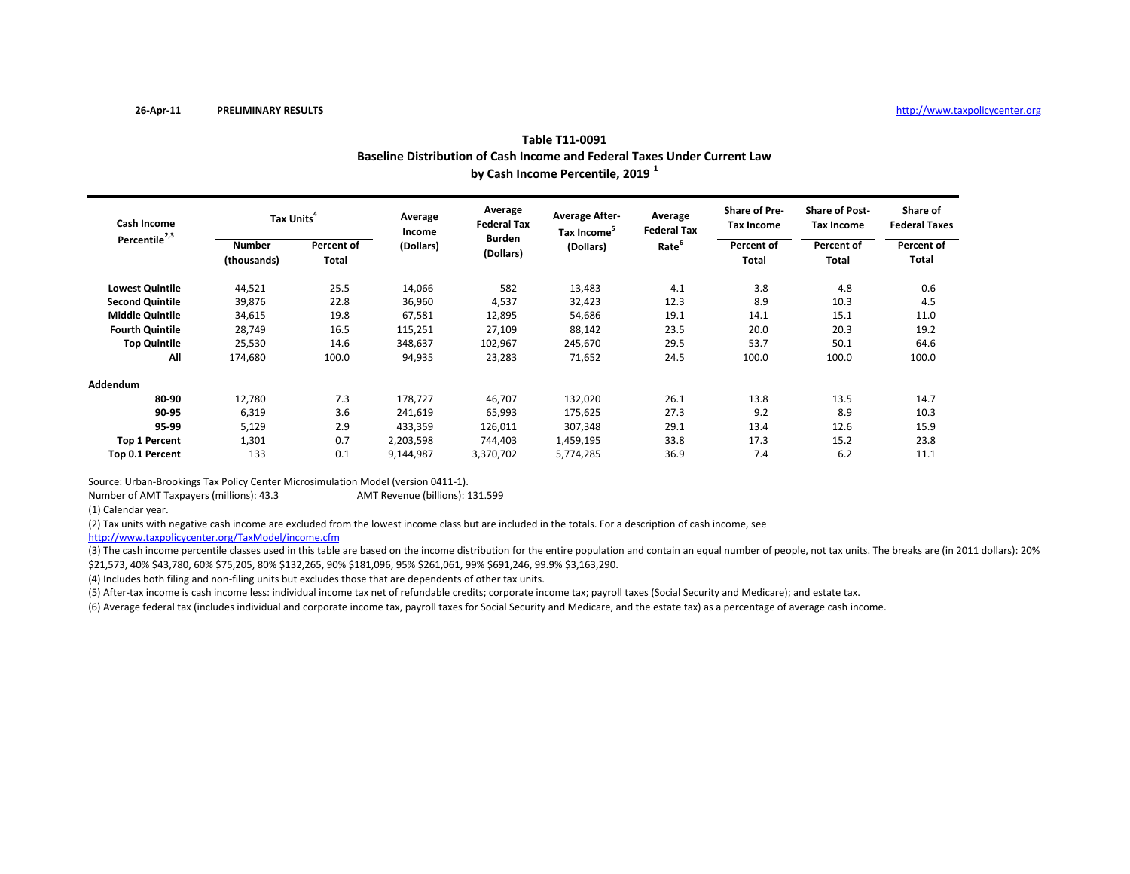|                                                 | Baseline Distribution of Cash Income and Federal Taxes Under Current Law<br>by Cash Income Percentile, 2019 <sup>1</sup> |                     |                   |                               |                                                  |                               |                                    |                                            |                                  |  |  |
|-------------------------------------------------|--------------------------------------------------------------------------------------------------------------------------|---------------------|-------------------|-------------------------------|--------------------------------------------------|-------------------------------|------------------------------------|--------------------------------------------|----------------------------------|--|--|
| <b>Cash Income</b><br>Percentile <sup>2,3</sup> | Tax Units <sup>4</sup>                                                                                                   |                     | Average<br>Income | Average<br><b>Federal Tax</b> | <b>Average After-</b><br>Tax Income <sup>5</sup> | Average<br><b>Federal Tax</b> | Share of Pre-<br><b>Tax Income</b> | <b>Share of Post-</b><br><b>Tax Income</b> | Share of<br><b>Federal Taxes</b> |  |  |
|                                                 | <b>Number</b><br>(thousands)                                                                                             | Percent of<br>Total | (Dollars)         | <b>Burden</b><br>(Dollars)    | (Dollars)                                        | Rate <sup>6</sup>             | Percent of<br>Total                | Percent of<br>Total                        | Percent of<br>Total              |  |  |
| <b>Lowest Quintile</b>                          | 44,521                                                                                                                   | 25.5                | 14,066            | 582                           | 13,483                                           | 4.1                           | 3.8                                | 4.8                                        | 0.6                              |  |  |
| <b>Second Quintile</b>                          | 39,876                                                                                                                   | 22.8                | 36,960            | 4,537                         | 32,423                                           | 12.3                          | 8.9                                | 10.3                                       | 4.5                              |  |  |
| <b>Middle Quintile</b>                          | 34,615                                                                                                                   | 19.8                | 67,581            | 12,895                        | 54,686                                           | 19.1                          | 14.1                               | 15.1                                       | 11.0                             |  |  |
| <b>Fourth Quintile</b>                          | 28,749                                                                                                                   | 16.5                | 115,251           | 27,109                        | 88,142                                           | 23.5                          | 20.0                               | 20.3                                       | 19.2                             |  |  |
| <b>Top Quintile</b>                             | 25,530                                                                                                                   | 14.6                | 348,637           | 102,967                       | 245,670                                          | 29.5                          | 53.7                               | 50.1                                       | 64.6                             |  |  |
| All                                             | 174,680                                                                                                                  | 100.0               | 94,935            | 23,283                        | 71,652                                           | 24.5                          | 100.0                              | 100.0                                      | 100.0                            |  |  |
| Addendum                                        |                                                                                                                          |                     |                   |                               |                                                  |                               |                                    |                                            |                                  |  |  |
| 80-90                                           | 12,780                                                                                                                   | 7.3                 | 178,727           | 46,707                        | 132,020                                          | 26.1                          | 13.8                               | 13.5                                       | 14.7                             |  |  |
| 90-95                                           | 6,319                                                                                                                    | 3.6                 | 241,619           | 65,993                        | 175,625                                          | 27.3                          | 9.2                                | 8.9                                        | 10.3                             |  |  |
| 95-99                                           | 5,129                                                                                                                    | 2.9                 | 433,359           | 126,011                       | 307,348                                          | 29.1                          | 13.4                               | 12.6                                       | 15.9                             |  |  |
| <b>Top 1 Percent</b>                            | 1,301                                                                                                                    | 0.7                 | 2,203,598         | 744,403                       | 1,459,195                                        | 33.8                          | 17.3                               | 15.2                                       | 23.8                             |  |  |
| Top 0.1 Percent                                 | 133                                                                                                                      | 0.1                 | 9,144,987         | 3,370,702                     | 5,774,285                                        | 36.9                          | 7.4                                | 6.2                                        | 11.1                             |  |  |

Source: Urban‐Brookings Tax Policy Center Microsimulation Model (version 0411‐1).

Number of AMTAMT Revenue (billions): 131.599

(1) Calendar year.

(2) Tax units with negative cash income are excluded from the lowest income class but are included in the totals. For <sup>a</sup> description of cash income, see

http://www.taxpolicycenter.org/TaxModel/income.cfm

(3) The cash income percentile classes used in this table are based on the income distribution for the entire population and contain an equal number of people, not tax units. The breaks are (in 2011 dollars): 20% \$21,573, 40% \$43,780, 60% \$75,205, 80% \$132,265, 90% \$181,096, 95% \$261,061, 99% \$691,246, 99.9% \$3,163,290.

(4) Includes both filing and non‐filing units but excludes those that are dependents of other tax units.

(5) After‐tax income is cash income less: individual income tax net of refundable credits; corporate income tax; payroll taxes (Social Security and Medicare); and estate tax.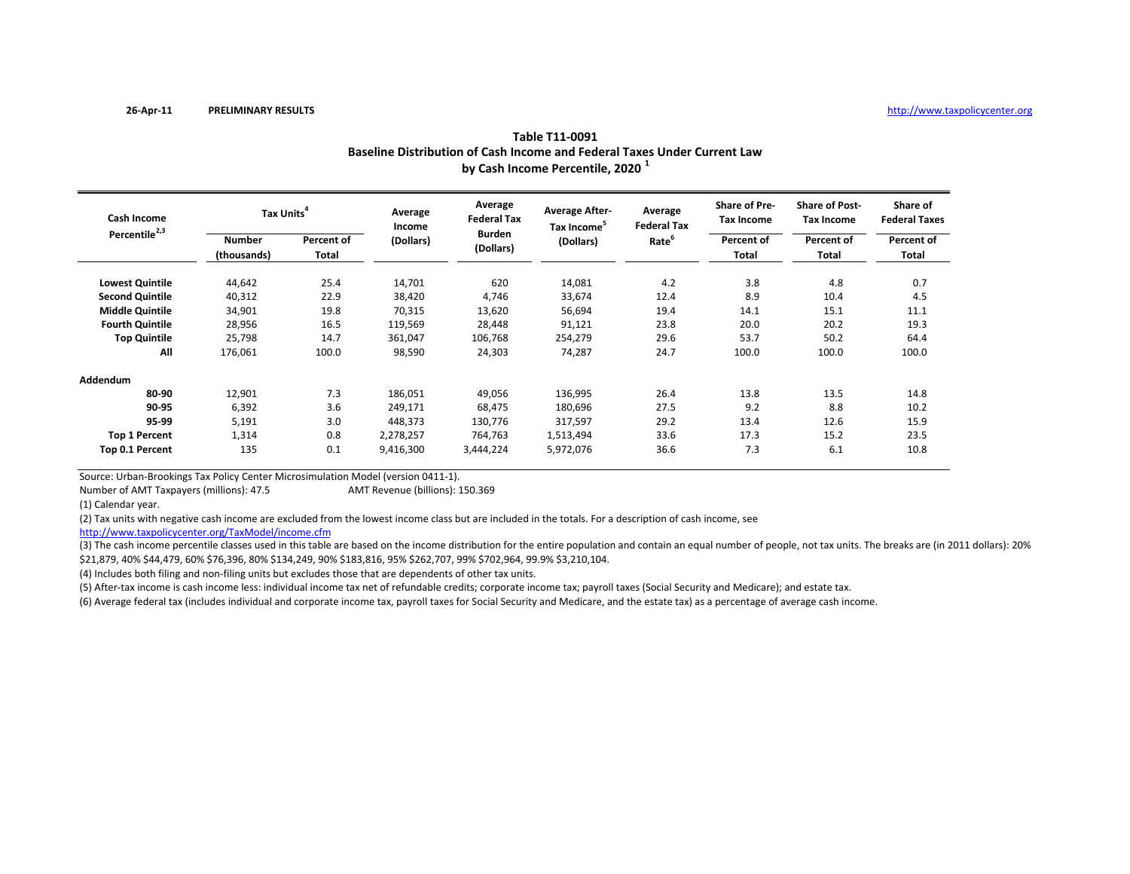| Table T11-0091                                                           |
|--------------------------------------------------------------------------|
| Baseline Distribution of Cash Income and Federal Taxes Under Current Law |
| by Cash Income Percentile, 2020 <sup>1</sup>                             |

| <b>Cash Income</b><br>Percentile <sup>2,3</sup> | Tax Units <sup>4</sup>       |                     | Average<br>Income | Average<br><b>Federal Tax</b> | <b>Average After-</b><br>Tax Income <sup>3</sup> | Average<br><b>Federal Tax</b> | <b>Share of Pre-</b><br><b>Tax Income</b> | <b>Share of Post-</b><br><b>Tax Income</b> | Share of<br><b>Federal Taxes</b> |
|-------------------------------------------------|------------------------------|---------------------|-------------------|-------------------------------|--------------------------------------------------|-------------------------------|-------------------------------------------|--------------------------------------------|----------------------------------|
|                                                 | <b>Number</b><br>(thousands) | Percent of<br>Total | (Dollars)         | <b>Burden</b><br>(Dollars)    | (Dollars)                                        | Rate <sup>6</sup>             | Percent of<br>Total                       | Percent of<br>Total                        | Percent of<br>Total              |
| <b>Lowest Quintile</b>                          | 44,642                       | 25.4                | 14,701            | 620                           | 14,081                                           | 4.2                           | 3.8                                       | 4.8                                        | 0.7                              |
| <b>Second Quintile</b>                          | 40,312                       | 22.9                | 38,420            | 4,746                         | 33,674                                           | 12.4                          | 8.9                                       | 10.4                                       | 4.5                              |
| <b>Middle Quintile</b>                          | 34,901                       | 19.8                | 70,315            | 13,620                        | 56,694                                           | 19.4                          | 14.1                                      | 15.1                                       | 11.1                             |
| <b>Fourth Quintile</b>                          | 28,956                       | 16.5                | 119,569           | 28,448                        | 91,121                                           | 23.8                          | 20.0                                      | 20.2                                       | 19.3                             |
| <b>Top Quintile</b>                             | 25,798                       | 14.7                | 361,047           | 106,768                       | 254,279                                          | 29.6                          | 53.7                                      | 50.2                                       | 64.4                             |
| All                                             | 176,061                      | 100.0               | 98,590            | 24,303                        | 74,287                                           | 24.7                          | 100.0                                     | 100.0                                      | 100.0                            |
| Addendum                                        |                              |                     |                   |                               |                                                  |                               |                                           |                                            |                                  |
| 80-90                                           | 12,901                       | 7.3                 | 186,051           | 49,056                        | 136,995                                          | 26.4                          | 13.8                                      | 13.5                                       | 14.8                             |
| 90-95                                           | 6,392                        | 3.6                 | 249,171           | 68,475                        | 180,696                                          | 27.5                          | 9.2                                       | 8.8                                        | 10.2                             |
| 95-99                                           | 5,191                        | 3.0                 | 448,373           | 130,776                       | 317,597                                          | 29.2                          | 13.4                                      | 12.6                                       | 15.9                             |
| <b>Top 1 Percent</b>                            | 1,314                        | 0.8                 | 2,278,257         | 764,763                       | 1,513,494                                        | 33.6                          | 17.3                                      | 15.2                                       | 23.5                             |
| Top 0.1 Percent                                 | 135                          | 0.1                 | 9,416,300         | 3,444,224                     | 5,972,076                                        | 36.6                          | 7.3                                       | 6.1                                        | 10.8                             |

Source: Urban‐Brookings Tax Policy Center Microsimulation Model (version 0411‐1).

Number of AMTAMT Revenue (billions): 150.369

(1) Calendar year.

(2) Tax units with negative cash income are excluded from the lowest income class but are included in the totals. For <sup>a</sup> description of cash income, see

http://www.taxpolicycenter.org/TaxModel/income.cfm

(3) The cash income percentile classes used in this table are based on the income distribution for the entire population and contain an equal number of people, not tax units. The breaks are (in 2011 dollars): 20% \$21,879, 40% \$44,479, 60% \$76,396, 80% \$134,249, 90% \$183,816, 95% \$262,707, 99% \$702,964, 99.9% \$3,210,104.

(4) Includes both filing and non‐filing units but excludes those that are dependents of other tax units.

(5) After‐tax income is cash income less: individual income tax net of refundable credits; corporate income tax; payroll taxes (Social Security and Medicare); and estate tax.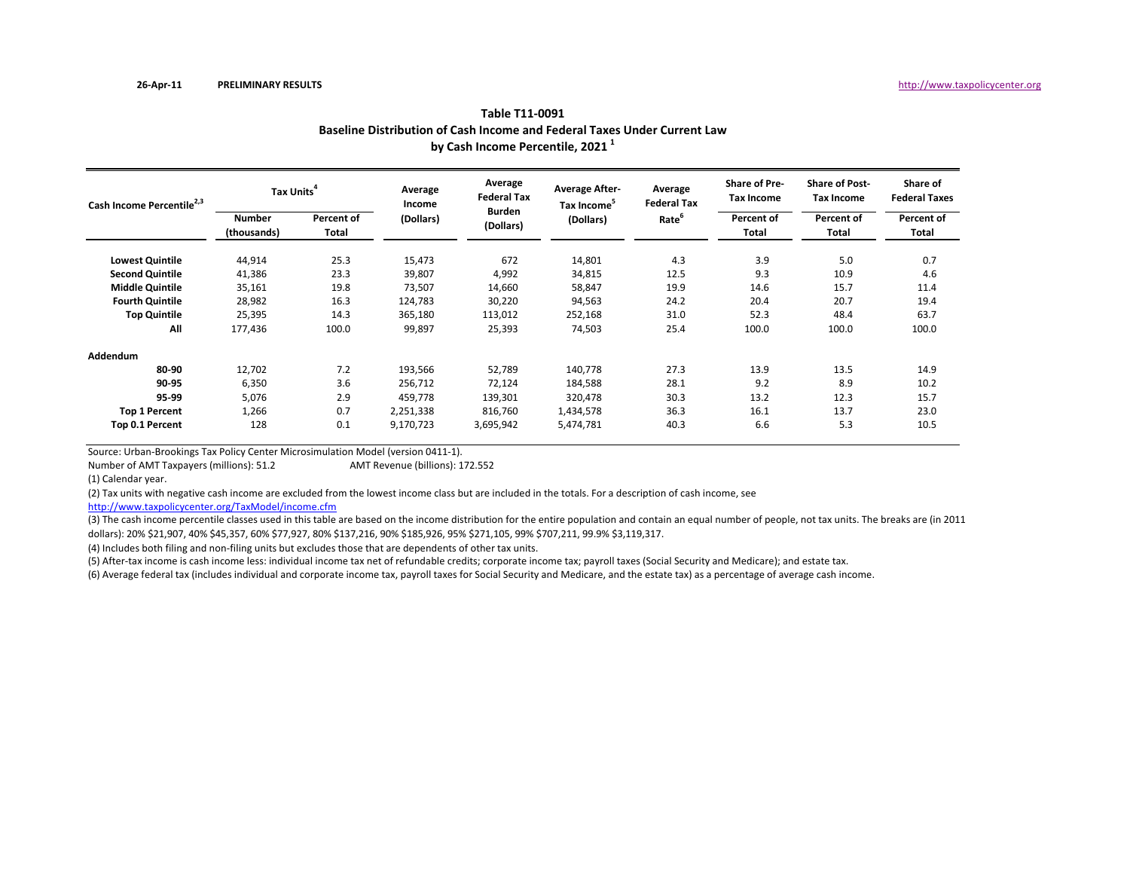| Cash Income Percentile <sup>2,3</sup> | Tax Units <sup>4</sup>       |                     | Average<br>Income | Average<br><b>Federal Tax</b> | <b>Average After-</b><br>Tax Income <sup>5</sup> | Average<br><b>Federal Tax</b> | <b>Share of Pre-</b><br><b>Tax Income</b> | <b>Share of Post-</b><br><b>Tax Income</b> | Share of<br><b>Federal Taxes</b> |
|---------------------------------------|------------------------------|---------------------|-------------------|-------------------------------|--------------------------------------------------|-------------------------------|-------------------------------------------|--------------------------------------------|----------------------------------|
|                                       | <b>Number</b><br>(thousands) | Percent of<br>Total | (Dollars)         | <b>Burden</b><br>(Dollars)    | (Dollars)                                        | Rate <sup>6</sup>             | Percent of<br>Total                       | Percent of<br>Total                        | Percent of<br>Total              |
| <b>Lowest Quintile</b>                | 44,914                       | 25.3                | 15,473            | 672                           | 14,801                                           | 4.3                           | 3.9                                       | 5.0                                        | 0.7                              |
| <b>Second Quintile</b>                | 41,386                       | 23.3                | 39,807            | 4,992                         | 34,815                                           | 12.5                          | 9.3                                       | 10.9                                       | 4.6                              |
| <b>Middle Quintile</b>                | 35,161                       | 19.8                | 73,507            | 14,660                        | 58,847                                           | 19.9                          | 14.6                                      | 15.7                                       | 11.4                             |
| <b>Fourth Quintile</b>                | 28,982                       | 16.3                | 124,783           | 30,220                        | 94,563                                           | 24.2                          | 20.4                                      | 20.7                                       | 19.4                             |
| <b>Top Quintile</b>                   | 25,395                       | 14.3                | 365,180           | 113,012                       | 252,168                                          | 31.0                          | 52.3                                      | 48.4                                       | 63.7                             |
| All                                   | 177,436                      | 100.0               | 99,897            | 25,393                        | 74,503                                           | 25.4                          | 100.0                                     | 100.0                                      | 100.0                            |
| Addendum                              |                              |                     |                   |                               |                                                  |                               |                                           |                                            |                                  |
| 80-90                                 | 12,702                       | 7.2                 | 193,566           | 52,789                        | 140,778                                          | 27.3                          | 13.9                                      | 13.5                                       | 14.9                             |
| 90-95                                 | 6,350                        | 3.6                 | 256,712           | 72,124                        | 184,588                                          | 28.1                          | 9.2                                       | 8.9                                        | 10.2                             |
| 95-99                                 | 5,076                        | 2.9                 | 459,778           | 139,301                       | 320,478                                          | 30.3                          | 13.2                                      | 12.3                                       | 15.7                             |
| <b>Top 1 Percent</b>                  | 1,266                        | 0.7                 | 2,251,338         | 816,760                       | 1,434,578                                        | 36.3                          | 16.1                                      | 13.7                                       | 23.0                             |
| Top 0.1 Percent                       | 128                          | 0.1                 | 9,170,723         | 3,695,942                     | 5,474,781                                        | 40.3                          | 6.6                                       | 5.3                                        | 10.5                             |

**by Cash Income Percentile, <sup>2021</sup> <sup>1</sup> Baseline Distribution of Cash Income and Federal Taxes Under Current Law Table T11‐0091**

Source: Urban‐Brookings Tax Policy Center Microsimulation Model (version 0411‐1).

Number of AMTAMT Revenue (billions): 172.552

(1) Calendar year.

(2) Tax units with negative cash income are excluded from the lowest income class but are included in the totals. For <sup>a</sup> description of cash income, see

http://www.taxpolicycenter.org/TaxModel/income.cfm

(3) The cash income percentile classes used in this table are based on the income distribution for the entire population and contain an equal number of people, not tax units. The breaks are (in 2011 dollars): 20% \$21,907, 40% \$45,357, 60% \$77,927, 80% \$137,216, 90% \$185,926, 95% \$271,105, 99% \$707,211, 99.9% \$3,119,317.

(4) Includes both filing and non‐filing units but excludes those that are dependents of other tax units.

(5) After‐tax income is cash income less: individual income tax net of refundable credits; corporate income tax; payroll taxes (Social Security and Medicare); and estate tax.